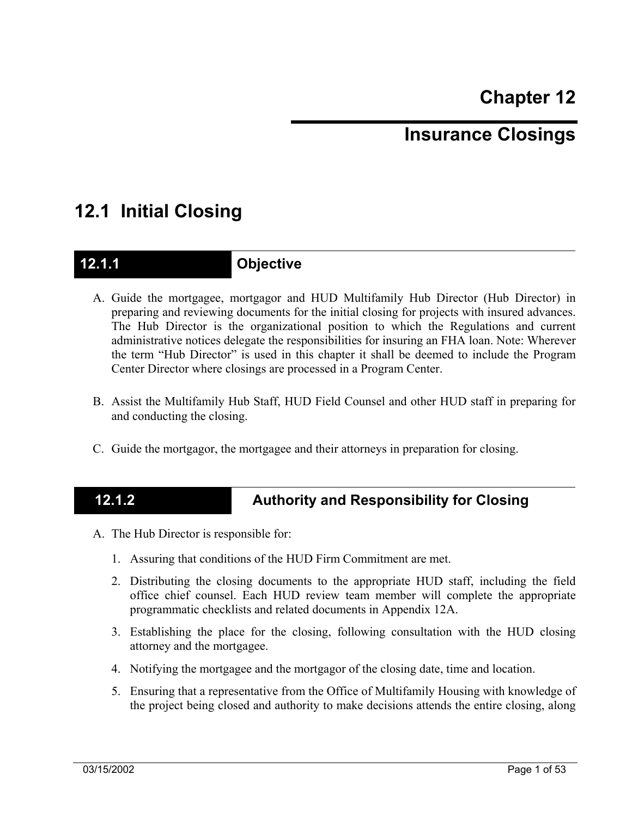# **Insurance Closings**

# **12.1 Initial Closing**

### **12.1.1 Objective**

- A. Guide the mortgagee, mortgagor and HUD Multifamily Hub Director (Hub Director) in preparing and reviewing documents for the initial closing for projects with insured advances. The Hub Director is the organizational position to which the Regulations and current administrative notices delegate the responsibilities for insuring an FHA loan. Note: Wherever the term "Hub Director" is used in this chapter it shall be deemed to include the Program Center Director where closings are processed in a Program Center.
- B. Assist the Multifamily Hub Staff, HUD Field Counsel and other HUD staff in preparing for and conducting the closing.
- C. Guide the mortgagor, the mortgagee and their attorneys in preparation for closing.

## **12.1.2 Authority and Responsibility for Closing**

- A. The Hub Director is responsible for:
	- 1. Assuring that conditions of the HUD Firm Commitment are met.
	- 2. Distributing the closing documents to the appropriate HUD staff, including the field office chief counsel. Each HUD review team member will complete the appropriate programmatic checklists and related documents in Appendix 12A.
	- 3. Establishing the place for the closing, following consultation with the HUD closing attorney and the mortgagee.
	- 4. Notifying the mortgagee and the mortgagor of the closing date, time and location.
	- 5. Ensuring that a representative from the Office of Multifamily Housing with knowledge of the project being closed and authority to make decisions attends the entire closing, along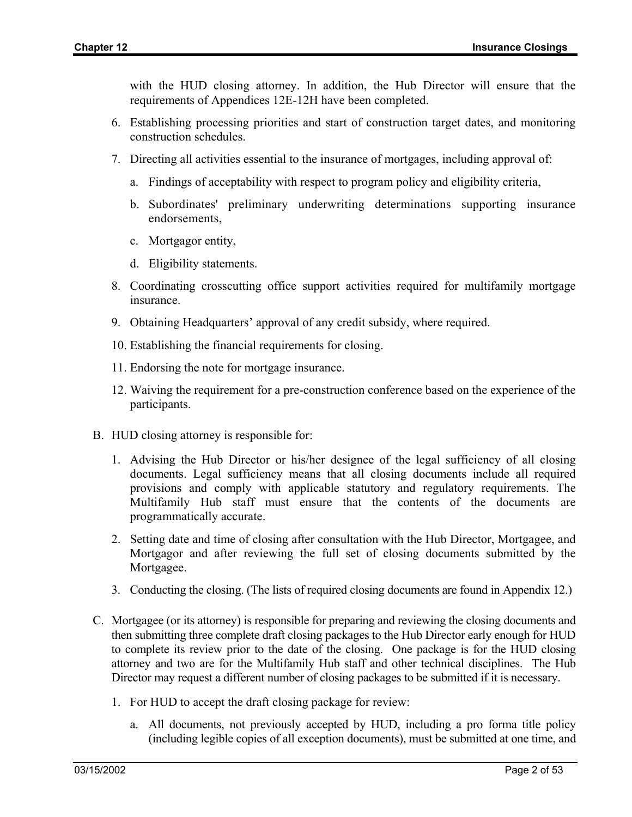with the HUD closing attorney. In addition, the Hub Director will ensure that the requirements of Appendices 12E-12H have been completed.

- 6. Establishing processing priorities and start of construction target dates, and monitoring construction schedules.
- 7. Directing all activities essential to the insurance of mortgages, including approval of:
	- a. Findings of acceptability with respect to program policy and eligibility criteria,
	- b. Subordinates' preliminary underwriting determinations supporting insurance endorsements,
	- c. Mortgagor entity,
	- d. Eligibility statements.
- 8. Coordinating crosscutting office support activities required for multifamily mortgage insurance.
- 9. Obtaining Headquarters' approval of any credit subsidy, where required.
- 10. Establishing the financial requirements for closing.
- 11. Endorsing the note for mortgage insurance.
- 12. Waiving the requirement for a pre-construction conference based on the experience of the participants.
- B. HUD closing attorney is responsible for:
	- 1. Advising the Hub Director or his/her designee of the legal sufficiency of all closing documents. Legal sufficiency means that all closing documents include all required provisions and comply with applicable statutory and regulatory requirements. The Multifamily Hub staff must ensure that the contents of the documents are programmatically accurate.
	- 2. Setting date and time of closing after consultation with the Hub Director, Mortgagee, and Mortgagor and after reviewing the full set of closing documents submitted by the Mortgagee.
	- 3. Conducting the closing. (The lists of required closing documents are found in Appendix 12.)
- C. Mortgagee (or its attorney) is responsible for preparing and reviewing the closing documents and then submitting three complete draft closing packages to the Hub Director early enough for HUD to complete its review prior to the date of the closing. One package is for the HUD closing attorney and two are for the Multifamily Hub staff and other technical disciplines. The Hub Director may request a different number of closing packages to be submitted if it is necessary.
	- 1. For HUD to accept the draft closing package for review:
		- a. All documents, not previously accepted by HUD, including a pro forma title policy (including legible copies of all exception documents), must be submitted at one time, and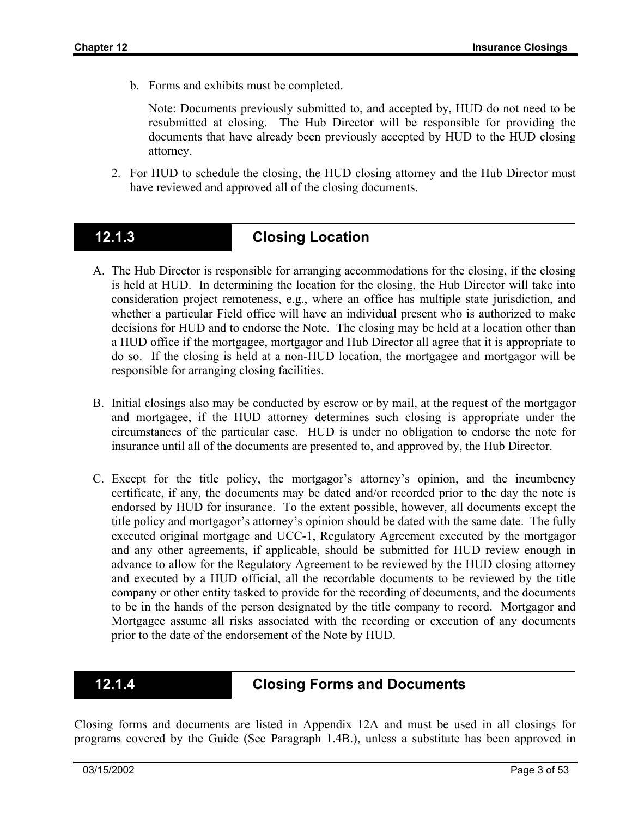b. Forms and exhibits must be completed.

Note: Documents previously submitted to, and accepted by, HUD do not need to be resubmitted at closing. The Hub Director will be responsible for providing the documents that have already been previously accepted by HUD to the HUD closing attorney.

2. For HUD to schedule the closing, the HUD closing attorney and the Hub Director must have reviewed and approved all of the closing documents.

## **12.1.3 Closing Location**

- A. The Hub Director is responsible for arranging accommodations for the closing, if the closing is held at HUD. In determining the location for the closing, the Hub Director will take into consideration project remoteness, e.g., where an office has multiple state jurisdiction, and whether a particular Field office will have an individual present who is authorized to make decisions for HUD and to endorse the Note. The closing may be held at a location other than a HUD office if the mortgagee, mortgagor and Hub Director all agree that it is appropriate to do so. If the closing is held at a non-HUD location, the mortgagee and mortgagor will be responsible for arranging closing facilities.
- B. Initial closings also may be conducted by escrow or by mail, at the request of the mortgagor and mortgagee, if the HUD attorney determines such closing is appropriate under the circumstances of the particular case. HUD is under no obligation to endorse the note for insurance until all of the documents are presented to, and approved by, the Hub Director.
- C. Except for the title policy, the mortgagor's attorney's opinion, and the incumbency certificate, if any, the documents may be dated and/or recorded prior to the day the note is endorsed by HUD for insurance. To the extent possible, however, all documents except the title policy and mortgagor's attorney's opinion should be dated with the same date. The fully executed original mortgage and UCC-1, Regulatory Agreement executed by the mortgagor and any other agreements, if applicable, should be submitted for HUD review enough in advance to allow for the Regulatory Agreement to be reviewed by the HUD closing attorney and executed by a HUD official, all the recordable documents to be reviewed by the title company or other entity tasked to provide for the recording of documents, and the documents to be in the hands of the person designated by the title company to record. Mortgagor and Mortgagee assume all risks associated with the recording or execution of any documents prior to the date of the endorsement of the Note by HUD.

### **12.1.4 Closing Forms and Documents**

Closing forms and documents are listed in Appendix 12A and must be used in all closings for programs covered by the Guide (See Paragraph 1.4B.), unless a substitute has been approved in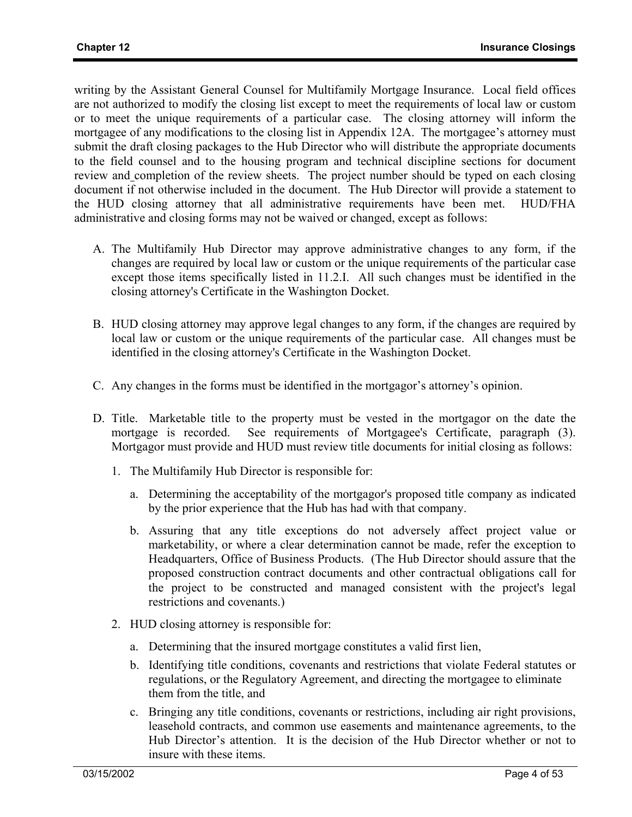writing by the Assistant General Counsel for Multifamily Mortgage Insurance. Local field offices are not authorized to modify the closing list except to meet the requirements of local law or custom or to meet the unique requirements of a particular case. The closing attorney will inform the mortgagee of any modifications to the closing list in Appendix 12A. The mortgagee's attorney must submit the draft closing packages to the Hub Director who will distribute the appropriate documents to the field counsel and to the housing program and technical discipline sections for document review and completion of the review sheets. The project number should be typed on each closing document if not otherwise included in the document. The Hub Director will provide a statement to the HUD closing attorney that all administrative requirements have been met. HUD/FHA administrative and closing forms may not be waived or changed, except as follows:

- A. The Multifamily Hub Director may approve administrative changes to any form, if the changes are required by local law or custom or the unique requirements of the particular case except those items specifically listed in 11.2.I. All such changes must be identified in the closing attorney's Certificate in the Washington Docket.
- B. HUD closing attorney may approve legal changes to any form, if the changes are required by local law or custom or the unique requirements of the particular case. All changes must be identified in the closing attorney's Certificate in the Washington Docket.
- C. Any changes in the forms must be identified in the mortgagor's attorney's opinion.
- D. Title. Marketable title to the property must be vested in the mortgagor on the date the mortgage is recorded. See requirements of Mortgagee's Certificate, paragraph (3). Mortgagor must provide and HUD must review title documents for initial closing as follows:
	- 1. The Multifamily Hub Director is responsible for:
		- a. Determining the acceptability of the mortgagor's proposed title company as indicated by the prior experience that the Hub has had with that company.
		- b. Assuring that any title exceptions do not adversely affect project value or marketability, or where a clear determination cannot be made, refer the exception to Headquarters, Office of Business Products. (The Hub Director should assure that the proposed construction contract documents and other contractual obligations call for the project to be constructed and managed consistent with the project's legal restrictions and covenants.)
	- 2. HUD closing attorney is responsible for:
		- a. Determining that the insured mortgage constitutes a valid first lien,
		- b. Identifying title conditions, covenants and restrictions that violate Federal statutes or regulations, or the Regulatory Agreement, and directing the mortgagee to eliminate them from the title, and
		- c. Bringing any title conditions, covenants or restrictions, including air right provisions, leasehold contracts, and common use easements and maintenance agreements, to the Hub Director's attention. It is the decision of the Hub Director whether or not to insure with these items.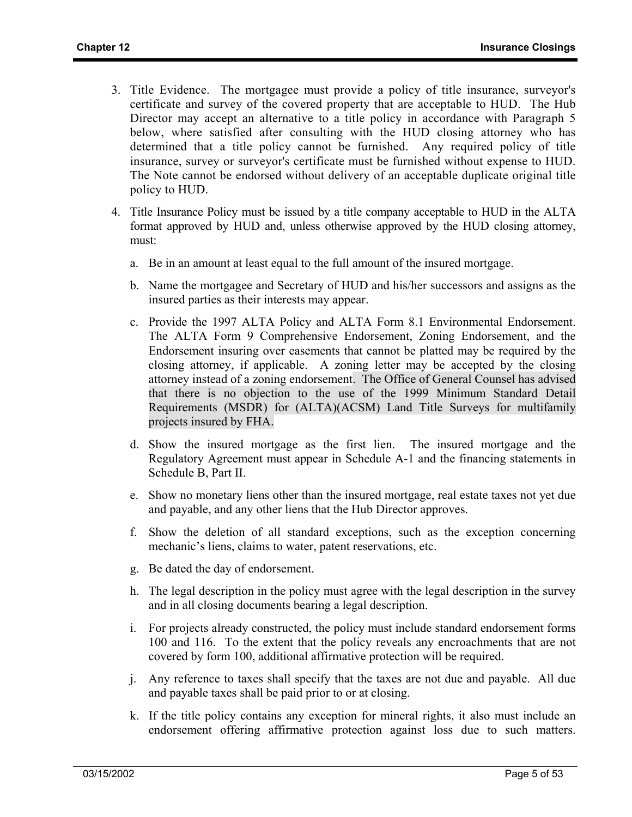- 3. Title Evidence. The mortgagee must provide a policy of title insurance, surveyor's certificate and survey of the covered property that are acceptable to HUD. The Hub Director may accept an alternative to a title policy in accordance with Paragraph 5 below, where satisfied after consulting with the HUD closing attorney who has determined that a title policy cannot be furnished. Any required policy of title insurance, survey or surveyor's certificate must be furnished without expense to HUD. The Note cannot be endorsed without delivery of an acceptable duplicate original title policy to HUD.
- 4. Title Insurance Policy must be issued by a title company acceptable to HUD in the ALTA format approved by HUD and, unless otherwise approved by the HUD closing attorney, must:
	- a. Be in an amount at least equal to the full amount of the insured mortgage.
	- b. Name the mortgagee and Secretary of HUD and his/her successors and assigns as the insured parties as their interests may appear.
	- c. Provide the 1997 ALTA Policy and ALTA Form 8.1 Environmental Endorsement. The ALTA Form 9 Comprehensive Endorsement, Zoning Endorsement, and the Endorsement insuring over easements that cannot be platted may be required by the closing attorney, if applicable. A zoning letter may be accepted by the closing attorney instead of a zoning endorsement. The Office of General Counsel has advised that there is no objection to the use of the 1999 Minimum Standard Detail Requirements (MSDR) for (ALTA)(ACSM) Land Title Surveys for multifamily projects insured by FHA.
	- d. Show the insured mortgage as the first lien. The insured mortgage and the Regulatory Agreement must appear in Schedule A-1 and the financing statements in Schedule B, Part II.
	- e. Show no monetary liens other than the insured mortgage, real estate taxes not yet due and payable, and any other liens that the Hub Director approves.
	- f. Show the deletion of all standard exceptions, such as the exception concerning mechanic's liens, claims to water, patent reservations, etc.
	- g. Be dated the day of endorsement.
	- h. The legal description in the policy must agree with the legal description in the survey and in all closing documents bearing a legal description.
	- i. For projects already constructed, the policy must include standard endorsement forms 100 and 116. To the extent that the policy reveals any encroachments that are not covered by form 100, additional affirmative protection will be required.
	- j. Any reference to taxes shall specify that the taxes are not due and payable. All due and payable taxes shall be paid prior to or at closing.
	- k. If the title policy contains any exception for mineral rights, it also must include an endorsement offering affirmative protection against loss due to such matters.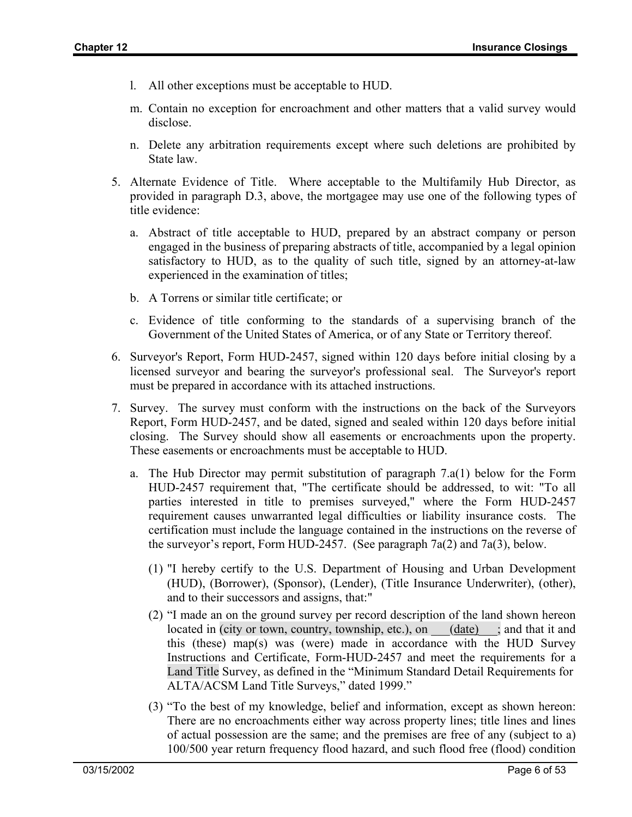- l. All other exceptions must be acceptable to HUD.
- m. Contain no exception for encroachment and other matters that a valid survey would disclose.
- n. Delete any arbitration requirements except where such deletions are prohibited by State law.
- 5. Alternate Evidence of Title. Where acceptable to the Multifamily Hub Director, as provided in paragraph D.3, above, the mortgagee may use one of the following types of title evidence:
	- a. Abstract of title acceptable to HUD, prepared by an abstract company or person engaged in the business of preparing abstracts of title, accompanied by a legal opinion satisfactory to HUD, as to the quality of such title, signed by an attorney-at-law experienced in the examination of titles;
	- b. A Torrens or similar title certificate; or
	- c. Evidence of title conforming to the standards of a supervising branch of the Government of the United States of America, or of any State or Territory thereof.
- 6. Surveyor's Report, Form HUD-2457, signed within 120 days before initial closing by a licensed surveyor and bearing the surveyor's professional seal. The Surveyor's report must be prepared in accordance with its attached instructions.
- 7. Survey. The survey must conform with the instructions on the back of the Surveyors Report, Form HUD-2457, and be dated, signed and sealed within 120 days before initial closing. The Survey should show all easements or encroachments upon the property. These easements or encroachments must be acceptable to HUD.
	- a. The Hub Director may permit substitution of paragraph 7.a(1) below for the Form HUD-2457 requirement that, "The certificate should be addressed, to wit: "To all parties interested in title to premises surveyed," where the Form HUD-2457 requirement causes unwarranted legal difficulties or liability insurance costs. The certification must include the language contained in the instructions on the reverse of the surveyor's report, Form HUD-2457. (See paragraph 7a(2) and 7a(3), below.
		- (1) "I hereby certify to the U.S. Department of Housing and Urban Development (HUD), (Borrower), (Sponsor), (Lender), (Title Insurance Underwriter), (other), and to their successors and assigns, that:"
		- (2) "I made an on the ground survey per record description of the land shown hereon located in (city or town, country, township, etc.), on (date); and that it and this (these) map(s) was (were) made in accordance with the HUD Survey Instructions and Certificate, Form-HUD-2457 and meet the requirements for a Land Title Survey, as defined in the "Minimum Standard Detail Requirements for ALTA/ACSM Land Title Surveys," dated 1999."
		- (3) "To the best of my knowledge, belief and information, except as shown hereon: There are no encroachments either way across property lines; title lines and lines of actual possession are the same; and the premises are free of any (subject to a) 100/500 year return frequency flood hazard, and such flood free (flood) condition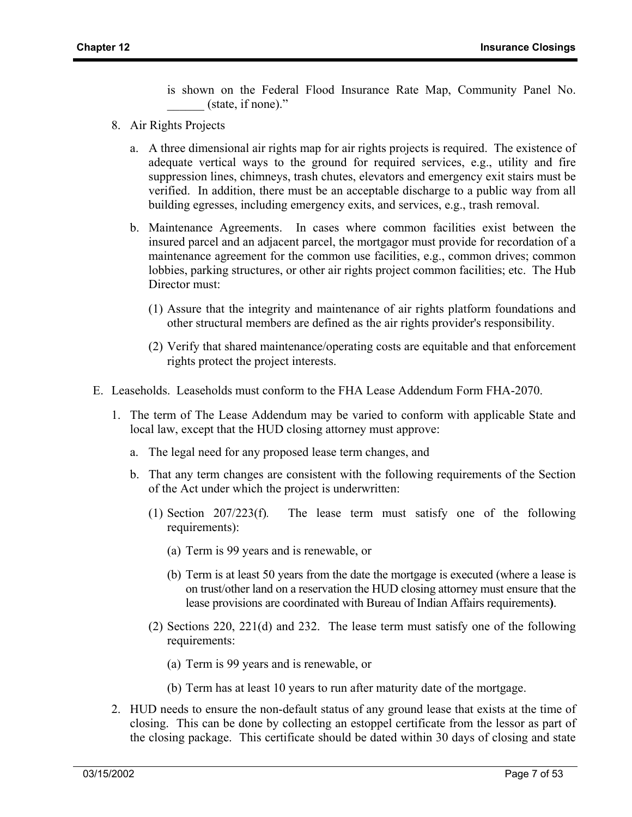is shown on the Federal Flood Insurance Rate Map, Community Panel No. (state, if none)."

- 8. Air Rights Projects
	- a. A three dimensional air rights map for air rights projects is required. The existence of adequate vertical ways to the ground for required services, e.g., utility and fire suppression lines, chimneys, trash chutes, elevators and emergency exit stairs must be verified. In addition, there must be an acceptable discharge to a public way from all building egresses, including emergency exits, and services, e.g., trash removal.
	- b. Maintenance Agreements. In cases where common facilities exist between the insured parcel and an adjacent parcel, the mortgagor must provide for recordation of a maintenance agreement for the common use facilities, e.g., common drives; common lobbies, parking structures, or other air rights project common facilities; etc. The Hub Director must:
		- (1) Assure that the integrity and maintenance of air rights platform foundations and other structural members are defined as the air rights provider's responsibility.
		- (2) Verify that shared maintenance/operating costs are equitable and that enforcement rights protect the project interests.
- E. Leaseholds. Leaseholds must conform to the FHA Lease Addendum Form FHA-2070.
	- 1. The term of The Lease Addendum may be varied to conform with applicable State and local law, except that the HUD closing attorney must approve:
		- a. The legal need for any proposed lease term changes, and
		- b. That any term changes are consistent with the following requirements of the Section of the Act under which the project is underwritten:
			- (1) Section 207/223(f)*.* The lease term must satisfy one of the following requirements):
				- (a) Term is 99 years and is renewable, or
				- (b) Term is at least 50 years from the date the mortgage is executed (where a lease is on trust/other land on a reservation the HUD closing attorney must ensure that the lease provisions are coordinated with Bureau of Indian Affairs requirements**)**.
			- (2) Sections 220, 221(d) and 232. The lease term must satisfy one of the following requirements:
				- (a) Term is 99 years and is renewable, or
				- (b) Term has at least 10 years to run after maturity date of the mortgage.
	- 2. HUD needs to ensure the non-default status of any ground lease that exists at the time of closing. This can be done by collecting an estoppel certificate from the lessor as part of the closing package. This certificate should be dated within 30 days of closing and state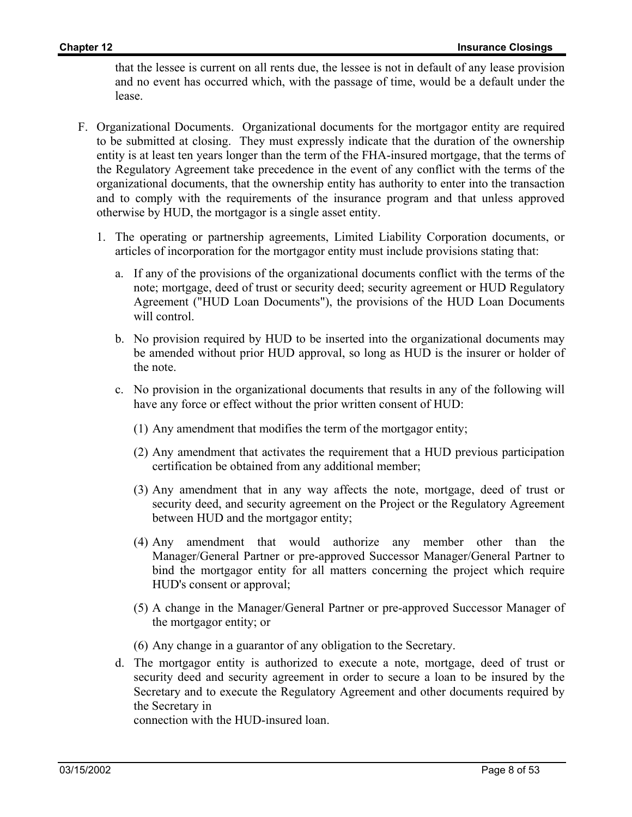that the lessee is current on all rents due, the lessee is not in default of any lease provision and no event has occurred which, with the passage of time, would be a default under the lease.

- F. Organizational Documents. Organizational documents for the mortgagor entity are required to be submitted at closing. They must expressly indicate that the duration of the ownership entity is at least ten years longer than the term of the FHA-insured mortgage, that the terms of the Regulatory Agreement take precedence in the event of any conflict with the terms of the organizational documents, that the ownership entity has authority to enter into the transaction and to comply with the requirements of the insurance program and that unless approved otherwise by HUD, the mortgagor is a single asset entity.
	- 1. The operating or partnership agreements, Limited Liability Corporation documents, or articles of incorporation for the mortgagor entity must include provisions stating that:
		- a. If any of the provisions of the organizational documents conflict with the terms of the note; mortgage, deed of trust or security deed; security agreement or HUD Regulatory Agreement ("HUD Loan Documents"), the provisions of the HUD Loan Documents will control.
		- b. No provision required by HUD to be inserted into the organizational documents may be amended without prior HUD approval, so long as HUD is the insurer or holder of the note.
		- c. No provision in the organizational documents that results in any of the following will have any force or effect without the prior written consent of HUD:
			- (1) Any amendment that modifies the term of the mortgagor entity;
			- (2) Any amendment that activates the requirement that a HUD previous participation certification be obtained from any additional member;
			- (3) Any amendment that in any way affects the note, mortgage, deed of trust or security deed, and security agreement on the Project or the Regulatory Agreement between HUD and the mortgagor entity;
			- (4) Any amendment that would authorize any member other than the Manager/General Partner or pre-approved Successor Manager/General Partner to bind the mortgagor entity for all matters concerning the project which require HUD's consent or approval;
			- (5) A change in the Manager/General Partner or pre-approved Successor Manager of the mortgagor entity; or
			- (6) Any change in a guarantor of any obligation to the Secretary.
		- d. The mortgagor entity is authorized to execute a note, mortgage, deed of trust or security deed and security agreement in order to secure a loan to be insured by the Secretary and to execute the Regulatory Agreement and other documents required by the Secretary in

connection with the HUD-insured loan.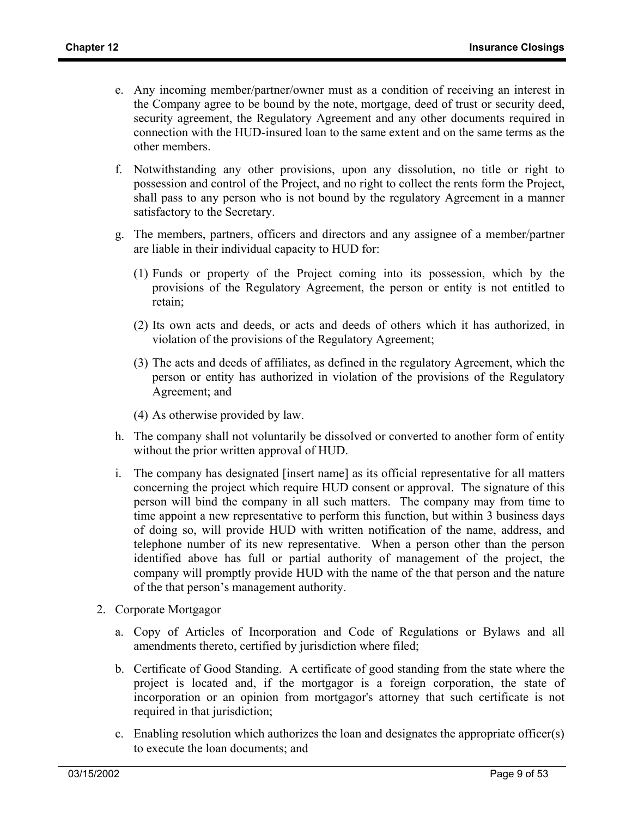- e. Any incoming member/partner/owner must as a condition of receiving an interest in the Company agree to be bound by the note, mortgage, deed of trust or security deed, security agreement, the Regulatory Agreement and any other documents required in connection with the HUD-insured loan to the same extent and on the same terms as the other members.
- f. Notwithstanding any other provisions, upon any dissolution, no title or right to possession and control of the Project, and no right to collect the rents form the Project, shall pass to any person who is not bound by the regulatory Agreement in a manner satisfactory to the Secretary.
- g. The members, partners, officers and directors and any assignee of a member/partner are liable in their individual capacity to HUD for:
	- (1) Funds or property of the Project coming into its possession, which by the provisions of the Regulatory Agreement, the person or entity is not entitled to retain;
	- (2) Its own acts and deeds, or acts and deeds of others which it has authorized, in violation of the provisions of the Regulatory Agreement;
	- (3) The acts and deeds of affiliates, as defined in the regulatory Agreement, which the person or entity has authorized in violation of the provisions of the Regulatory Agreement; and
	- (4) As otherwise provided by law.
- h. The company shall not voluntarily be dissolved or converted to another form of entity without the prior written approval of HUD.
- i. The company has designated [insert name] as its official representative for all matters concerning the project which require HUD consent or approval. The signature of this person will bind the company in all such matters. The company may from time to time appoint a new representative to perform this function, but within 3 business days of doing so, will provide HUD with written notification of the name, address, and telephone number of its new representative. When a person other than the person identified above has full or partial authority of management of the project, the company will promptly provide HUD with the name of the that person and the nature of the that person's management authority.
- 2. Corporate Mortgagor
	- a. Copy of Articles of Incorporation and Code of Regulations or Bylaws and all amendments thereto, certified by jurisdiction where filed;
	- b. Certificate of Good Standing. A certificate of good standing from the state where the project is located and, if the mortgagor is a foreign corporation, the state of incorporation or an opinion from mortgagor's attorney that such certificate is not required in that jurisdiction;
	- c. Enabling resolution which authorizes the loan and designates the appropriate officer(s) to execute the loan documents; and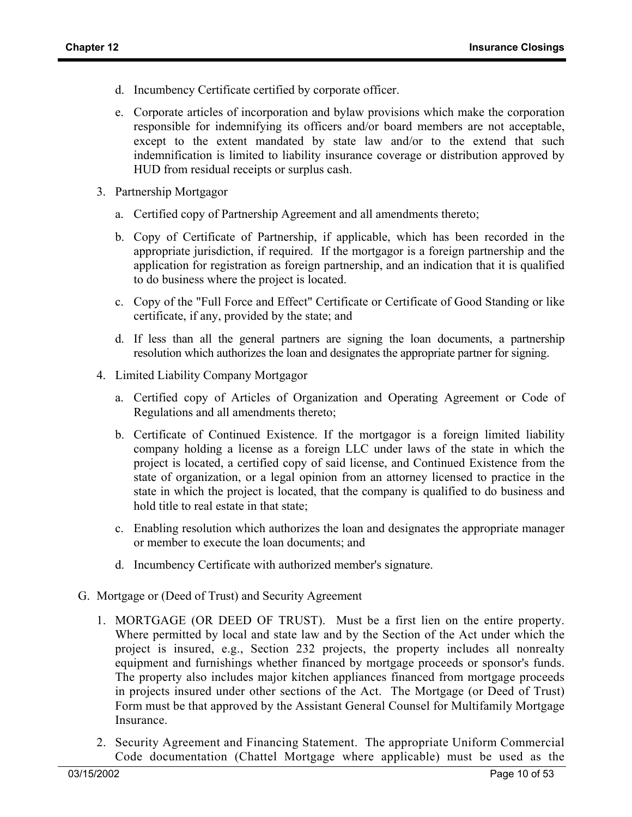- d. Incumbency Certificate certified by corporate officer.
- e. Corporate articles of incorporation and bylaw provisions which make the corporation responsible for indemnifying its officers and/or board members are not acceptable, except to the extent mandated by state law and/or to the extend that such indemnification is limited to liability insurance coverage or distribution approved by HUD from residual receipts or surplus cash.
- 3. Partnership Mortgagor
	- a. Certified copy of Partnership Agreement and all amendments thereto;
	- b. Copy of Certificate of Partnership, if applicable, which has been recorded in the appropriate jurisdiction, if required. If the mortgagor is a foreign partnership and the application for registration as foreign partnership, and an indication that it is qualified to do business where the project is located.
	- c. Copy of the "Full Force and Effect" Certificate or Certificate of Good Standing or like certificate, if any, provided by the state; and
	- d. If less than all the general partners are signing the loan documents, a partnership resolution which authorizes the loan and designates the appropriate partner for signing.
- 4. Limited Liability Company Mortgagor
	- a. Certified copy of Articles of Organization and Operating Agreement or Code of Regulations and all amendments thereto;
	- b. Certificate of Continued Existence. If the mortgagor is a foreign limited liability company holding a license as a foreign LLC under laws of the state in which the project is located, a certified copy of said license, and Continued Existence from the state of organization, or a legal opinion from an attorney licensed to practice in the state in which the project is located, that the company is qualified to do business and hold title to real estate in that state;
	- c. Enabling resolution which authorizes the loan and designates the appropriate manager or member to execute the loan documents; and
	- d. Incumbency Certificate with authorized member's signature.
- G. Mortgage or (Deed of Trust) and Security Agreement
	- 1. MORTGAGE (OR DEED OF TRUST). Must be a first lien on the entire property. Where permitted by local and state law and by the Section of the Act under which the project is insured, e.g., Section 232 projects, the property includes all nonrealty equipment and furnishings whether financed by mortgage proceeds or sponsor's funds. The property also includes major kitchen appliances financed from mortgage proceeds in projects insured under other sections of the Act. The Mortgage (or Deed of Trust) Form must be that approved by the Assistant General Counsel for Multifamily Mortgage Insurance.
	- 2. Security Agreement and Financing Statement. The appropriate Uniform Commercial Code documentation (Chattel Mortgage where applicable) must be used as the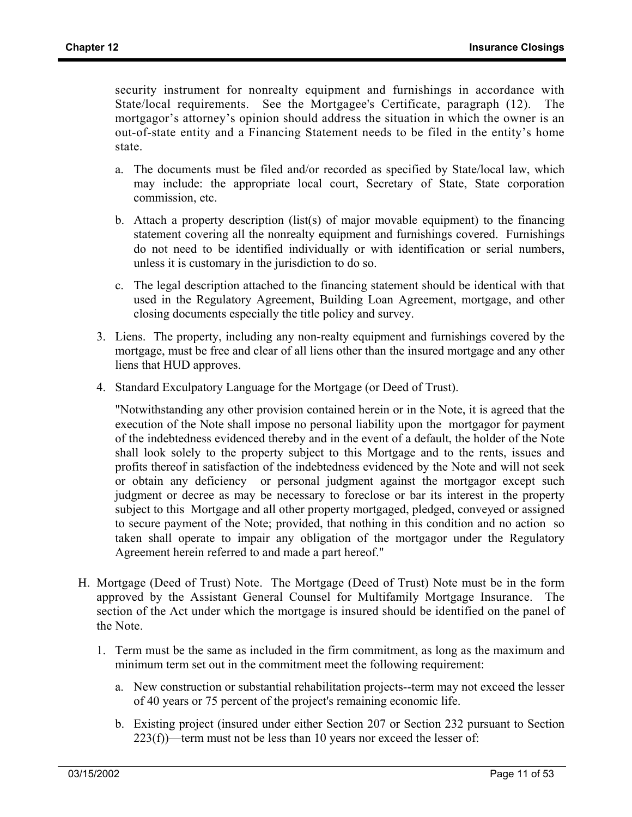security instrument for nonrealty equipment and furnishings in accordance with State/local requirements. See the Mortgagee's Certificate, paragraph (12). The mortgagor's attorney's opinion should address the situation in which the owner is an out-of-state entity and a Financing Statement needs to be filed in the entity's home state.

- a. The documents must be filed and/or recorded as specified by State/local law, which may include: the appropriate local court, Secretary of State, State corporation commission, etc.
- b. Attach a property description (list(s) of major movable equipment) to the financing statement covering all the nonrealty equipment and furnishings covered. Furnishings do not need to be identified individually or with identification or serial numbers, unless it is customary in the jurisdiction to do so.
- c. The legal description attached to the financing statement should be identical with that used in the Regulatory Agreement, Building Loan Agreement, mortgage, and other closing documents especially the title policy and survey.
- 3. Liens. The property, including any non-realty equipment and furnishings covered by the mortgage, must be free and clear of all liens other than the insured mortgage and any other liens that HUD approves.
- 4. Standard Exculpatory Language for the Mortgage (or Deed of Trust).

"Notwithstanding any other provision contained herein or in the Note, it is agreed that the execution of the Note shall impose no personal liability upon the mortgagor for payment of the indebtedness evidenced thereby and in the event of a default, the holder of the Note shall look solely to the property subject to this Mortgage and to the rents, issues and profits thereof in satisfaction of the indebtedness evidenced by the Note and will not seek or obtain any deficiency or personal judgment against the mortgagor except such judgment or decree as may be necessary to foreclose or bar its interest in the property subject to this Mortgage and all other property mortgaged, pledged, conveyed or assigned to secure payment of the Note; provided, that nothing in this condition and no action so taken shall operate to impair any obligation of the mortgagor under the Regulatory Agreement herein referred to and made a part hereof."

- H. Mortgage (Deed of Trust) Note. The Mortgage (Deed of Trust) Note must be in the form approved by the Assistant General Counsel for Multifamily Mortgage Insurance. The section of the Act under which the mortgage is insured should be identified on the panel of the Note.
	- 1. Term must be the same as included in the firm commitment, as long as the maximum and minimum term set out in the commitment meet the following requirement:
		- a. New construction or substantial rehabilitation projects--term may not exceed the lesser of 40 years or 75 percent of the project's remaining economic life.
		- b. Existing project (insured under either Section 207 or Section 232 pursuant to Section  $223(f)$ —term must not be less than 10 years nor exceed the lesser of: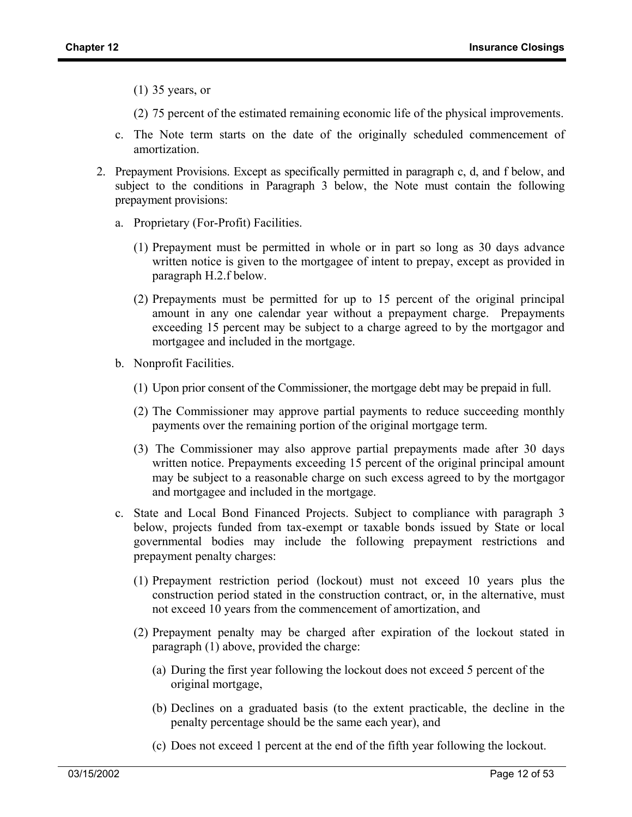(1) 35 years, or

- (2) 75 percent of the estimated remaining economic life of the physical improvements.
- c. The Note term starts on the date of the originally scheduled commencement of amortization.
- 2. Prepayment Provisions. Except as specifically permitted in paragraph c, d, and f below, and subject to the conditions in Paragraph 3 below, the Note must contain the following prepayment provisions:
	- a. Proprietary (For-Profit) Facilities.
		- (1) Prepayment must be permitted in whole or in part so long as 30 days advance written notice is given to the mortgagee of intent to prepay, except as provided in paragraph H.2.f below.
		- (2) Prepayments must be permitted for up to 15 percent of the original principal amount in any one calendar year without a prepayment charge. Prepayments exceeding 15 percent may be subject to a charge agreed to by the mortgagor and mortgagee and included in the mortgage.
	- b. Nonprofit Facilities.
		- (1) Upon prior consent of the Commissioner, the mortgage debt may be prepaid in full.
		- (2) The Commissioner may approve partial payments to reduce succeeding monthly payments over the remaining portion of the original mortgage term.
		- (3) The Commissioner may also approve partial prepayments made after 30 days written notice. Prepayments exceeding 15 percent of the original principal amount may be subject to a reasonable charge on such excess agreed to by the mortgagor and mortgagee and included in the mortgage.
	- c. State and Local Bond Financed Projects. Subject to compliance with paragraph 3 below, projects funded from tax-exempt or taxable bonds issued by State or local governmental bodies may include the following prepayment restrictions and prepayment penalty charges:
		- (1) Prepayment restriction period (lockout) must not exceed 10 years plus the construction period stated in the construction contract, or, in the alternative, must not exceed 10 years from the commencement of amortization, and
		- (2) Prepayment penalty may be charged after expiration of the lockout stated in paragraph (1) above, provided the charge:
			- (a) During the first year following the lockout does not exceed 5 percent of the original mortgage,
			- (b) Declines on a graduated basis (to the extent practicable, the decline in the penalty percentage should be the same each year), and
			- (c) Does not exceed 1 percent at the end of the fifth year following the lockout.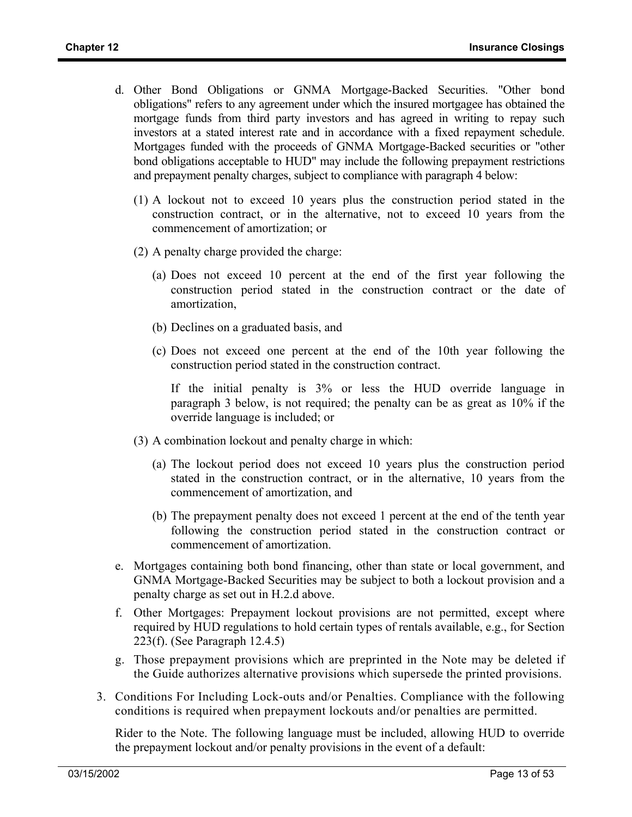- d. Other Bond Obligations or GNMA Mortgage-Backed Securities. "Other bond obligations" refers to any agreement under which the insured mortgagee has obtained the mortgage funds from third party investors and has agreed in writing to repay such investors at a stated interest rate and in accordance with a fixed repayment schedule. Mortgages funded with the proceeds of GNMA Mortgage-Backed securities or "other bond obligations acceptable to HUD" may include the following prepayment restrictions and prepayment penalty charges, subject to compliance with paragraph 4 below:
	- (1) A lockout not to exceed 10 years plus the construction period stated in the construction contract, or in the alternative, not to exceed 10 years from the commencement of amortization; or
	- (2) A penalty charge provided the charge:
		- (a) Does not exceed 10 percent at the end of the first year following the construction period stated in the construction contract or the date of amortization,
		- (b) Declines on a graduated basis, and
		- (c) Does not exceed one percent at the end of the 10th year following the construction period stated in the construction contract.

If the initial penalty is 3% or less the HUD override language in paragraph 3 below, is not required; the penalty can be as great as 10% if the override language is included; or

- (3) A combination lockout and penalty charge in which:
	- (a) The lockout period does not exceed 10 years plus the construction period stated in the construction contract, or in the alternative, 10 years from the commencement of amortization, and
	- (b) The prepayment penalty does not exceed 1 percent at the end of the tenth year following the construction period stated in the construction contract or commencement of amortization.
- e. Mortgages containing both bond financing, other than state or local government, and GNMA Mortgage-Backed Securities may be subject to both a lockout provision and a penalty charge as set out in H.2.d above.
- f. Other Mortgages: Prepayment lockout provisions are not permitted, except where required by HUD regulations to hold certain types of rentals available, e.g., for Section 223(f). (See Paragraph 12.4.5)
- g. Those prepayment provisions which are preprinted in the Note may be deleted if the Guide authorizes alternative provisions which supersede the printed provisions.
- 3. Conditions For Including Lock-outs and/or Penalties. Compliance with the following conditions is required when prepayment lockouts and/or penalties are permitted.

Rider to the Note. The following language must be included, allowing HUD to override the prepayment lockout and/or penalty provisions in the event of a default: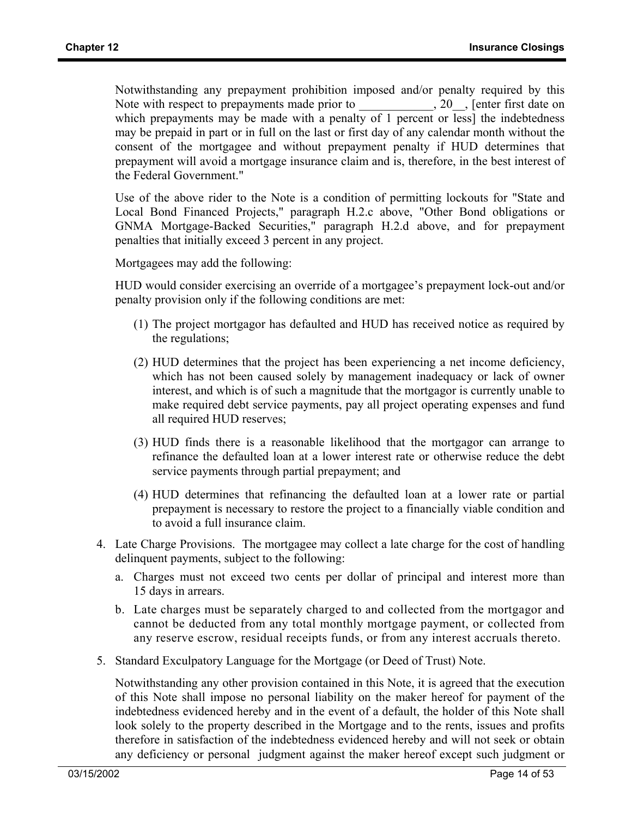Notwithstanding any prepayment prohibition imposed and/or penalty required by this Note with respect to prepayments made prior to  $\qquad \qquad , 20$ , [enter first date on which prepayments may be made with a penalty of 1 percent or less] the indebtedness may be prepaid in part or in full on the last or first day of any calendar month without the consent of the mortgagee and without prepayment penalty if HUD determines that prepayment will avoid a mortgage insurance claim and is, therefore, in the best interest of the Federal Government."

Use of the above rider to the Note is a condition of permitting lockouts for "State and Local Bond Financed Projects," paragraph H.2.c above, "Other Bond obligations or GNMA Mortgage-Backed Securities," paragraph H.2.d above, and for prepayment penalties that initially exceed 3 percent in any project.

Mortgagees may add the following:

HUD would consider exercising an override of a mortgagee's prepayment lock-out and/or penalty provision only if the following conditions are met:

- (1) The project mortgagor has defaulted and HUD has received notice as required by the regulations;
- (2) HUD determines that the project has been experiencing a net income deficiency, which has not been caused solely by management inadequacy or lack of owner interest, and which is of such a magnitude that the mortgagor is currently unable to make required debt service payments, pay all project operating expenses and fund all required HUD reserves;
- (3) HUD finds there is a reasonable likelihood that the mortgagor can arrange to refinance the defaulted loan at a lower interest rate or otherwise reduce the debt service payments through partial prepayment; and
- (4) HUD determines that refinancing the defaulted loan at a lower rate or partial prepayment is necessary to restore the project to a financially viable condition and to avoid a full insurance claim.
- 4. Late Charge Provisions. The mortgagee may collect a late charge for the cost of handling delinquent payments, subject to the following:
	- a. Charges must not exceed two cents per dollar of principal and interest more than 15 days in arrears.
	- b. Late charges must be separately charged to and collected from the mortgagor and cannot be deducted from any total monthly mortgage payment, or collected from any reserve escrow, residual receipts funds, or from any interest accruals thereto.
- 5. Standard Exculpatory Language for the Mortgage (or Deed of Trust) Note.

Notwithstanding any other provision contained in this Note, it is agreed that the execution of this Note shall impose no personal liability on the maker hereof for payment of the indebtedness evidenced hereby and in the event of a default, the holder of this Note shall look solely to the property described in the Mortgage and to the rents, issues and profits therefore in satisfaction of the indebtedness evidenced hereby and will not seek or obtain any deficiency or personal judgment against the maker hereof except such judgment or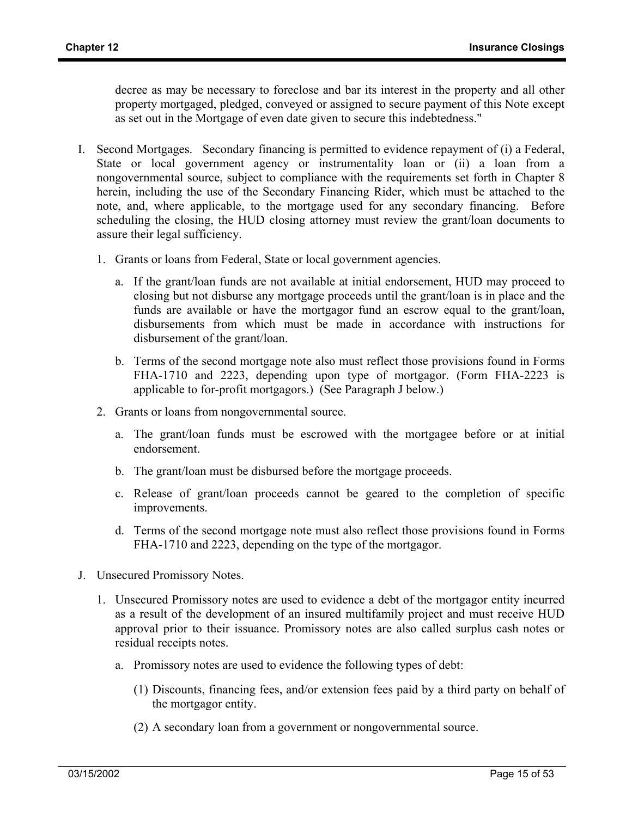decree as may be necessary to foreclose and bar its interest in the property and all other property mortgaged, pledged, conveyed or assigned to secure payment of this Note except as set out in the Mortgage of even date given to secure this indebtedness."

- I. Second Mortgages. Secondary financing is permitted to evidence repayment of (i) a Federal, State or local government agency or instrumentality loan or (ii) a loan from a nongovernmental source, subject to compliance with the requirements set forth in Chapter 8 herein, including the use of the Secondary Financing Rider, which must be attached to the note, and, where applicable, to the mortgage used for any secondary financing. Before scheduling the closing, the HUD closing attorney must review the grant/loan documents to assure their legal sufficiency.
	- 1. Grants or loans from Federal, State or local government agencies.
		- a. If the grant/loan funds are not available at initial endorsement, HUD may proceed to closing but not disburse any mortgage proceeds until the grant/loan is in place and the funds are available or have the mortgagor fund an escrow equal to the grant/loan, disbursements from which must be made in accordance with instructions for disbursement of the grant/loan.
		- b. Terms of the second mortgage note also must reflect those provisions found in Forms FHA-1710 and 2223, depending upon type of mortgagor. (Form FHA-2223 is applicable to for-profit mortgagors.) (See Paragraph J below.)
	- 2. Grants or loans from nongovernmental source.
		- a. The grant/loan funds must be escrowed with the mortgagee before or at initial endorsement.
		- b. The grant/loan must be disbursed before the mortgage proceeds.
		- c. Release of grant/loan proceeds cannot be geared to the completion of specific improvements.
		- d. Terms of the second mortgage note must also reflect those provisions found in Forms FHA-1710 and 2223, depending on the type of the mortgagor.
- J. Unsecured Promissory Notes.
	- 1. Unsecured Promissory notes are used to evidence a debt of the mortgagor entity incurred as a result of the development of an insured multifamily project and must receive HUD approval prior to their issuance. Promissory notes are also called surplus cash notes or residual receipts notes.
		- a. Promissory notes are used to evidence the following types of debt:
			- (1) Discounts, financing fees, and/or extension fees paid by a third party on behalf of the mortgagor entity.
			- (2) A secondary loan from a government or nongovernmental source.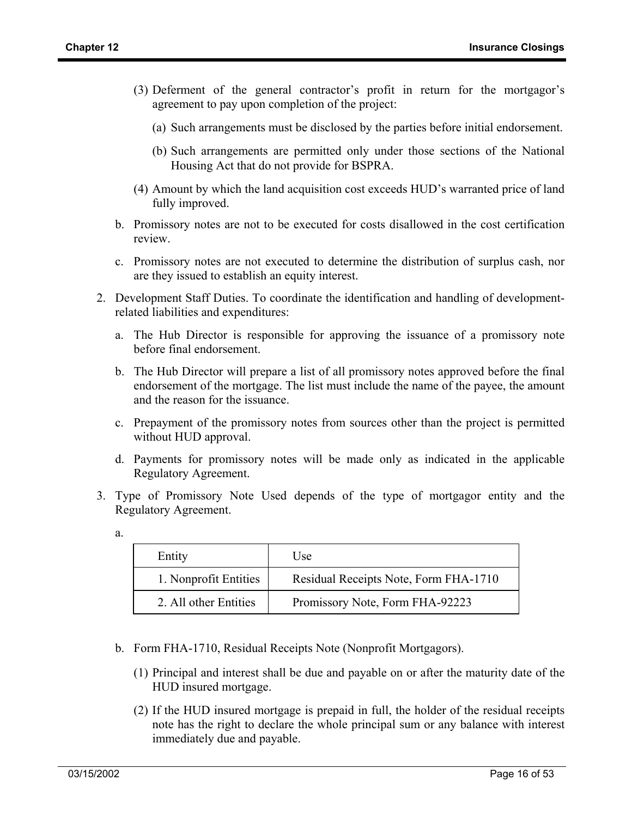- (3) Deferment of the general contractor's profit in return for the mortgagor's agreement to pay upon completion of the project:
	- (a) Such arrangements must be disclosed by the parties before initial endorsement.
	- (b) Such arrangements are permitted only under those sections of the National Housing Act that do not provide for BSPRA.
- (4) Amount by which the land acquisition cost exceeds HUD's warranted price of land fully improved.
- b. Promissory notes are not to be executed for costs disallowed in the cost certification review.
- c. Promissory notes are not executed to determine the distribution of surplus cash, nor are they issued to establish an equity interest.
- 2. Development Staff Duties. To coordinate the identification and handling of developmentrelated liabilities and expenditures:
	- a. The Hub Director is responsible for approving the issuance of a promissory note before final endorsement.
	- b. The Hub Director will prepare a list of all promissory notes approved before the final endorsement of the mortgage. The list must include the name of the payee, the amount and the reason for the issuance.
	- c. Prepayment of the promissory notes from sources other than the project is permitted without HUD approval.
	- d. Payments for promissory notes will be made only as indicated in the applicable Regulatory Agreement.
- 3. Type of Promissory Note Used depends of the type of mortgagor entity and the Regulatory Agreement.
	- a.

| Entity                | Use                                   |
|-----------------------|---------------------------------------|
| 1. Nonprofit Entities | Residual Receipts Note, Form FHA-1710 |
| 2. All other Entities | Promissory Note, Form FHA-92223       |

- b. Form FHA-1710, Residual Receipts Note (Nonprofit Mortgagors).
	- (1) Principal and interest shall be due and payable on or after the maturity date of the HUD insured mortgage.
	- (2) If the HUD insured mortgage is prepaid in full, the holder of the residual receipts note has the right to declare the whole principal sum or any balance with interest immediately due and payable.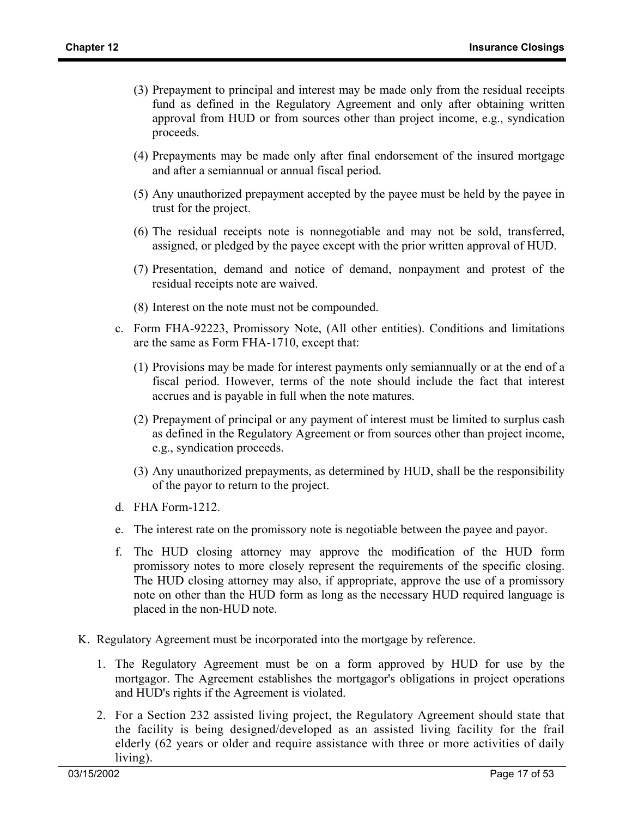- (3) Prepayment to principal and interest may be made only from the residual receipts fund as defined in the Regulatory Agreement and only after obtaining written approval from HUD or from sources other than project income, e.g., syndication proceeds.
- (4) Prepayments may be made only after final endorsement of the insured mortgage and after a semiannual or annual fiscal period.
- (5) Any unauthorized prepayment accepted by the payee must be held by the payee in trust for the project.
- (6) The residual receipts note is nonnegotiable and may not be sold, transferred, assigned, or pledged by the payee except with the prior written approval of HUD.
- (7) Presentation, demand and notice of demand, nonpayment and protest of the residual receipts note are waived.
- (8) Interest on the note must not be compounded.
- c. Form FHA-92223, Promissory Note, (All other entities). Conditions and limitations are the same as Form FHA-1710, except that:
	- (1) Provisions may be made for interest payments only semiannually or at the end of a fiscal period. However, terms of the note should include the fact that interest accrues and is payable in full when the note matures.
	- (2) Prepayment of principal or any payment of interest must be limited to surplus cash as defined in the Regulatory Agreement or from sources other than project income, e.g., syndication proceeds.
	- (3) Any unauthorized prepayments, as determined by HUD, shall be the responsibility of the payor to return to the project.
- d. FHA Form-1212.
- e. The interest rate on the promissory note is negotiable between the payee and payor.
- f. The HUD closing attorney may approve the modification of the HUD form promissory notes to more closely represent the requirements of the specific closing. The HUD closing attorney may also, if appropriate, approve the use of a promissory note on other than the HUD form as long as the necessary HUD required language is placed in the non-HUD note.
- K. Regulatory Agreement must be incorporated into the mortgage by reference.
	- 1. The Regulatory Agreement must be on a form approved by HUD for use by the mortgagor. The Agreement establishes the mortgagor's obligations in project operations and HUD's rights if the Agreement is violated.
	- 2. For a Section 232 assisted living project, the Regulatory Agreement should state that the facility is being designed/developed as an assisted living facility for the frail elderly (62 years or older and require assistance with three or more activities of daily living).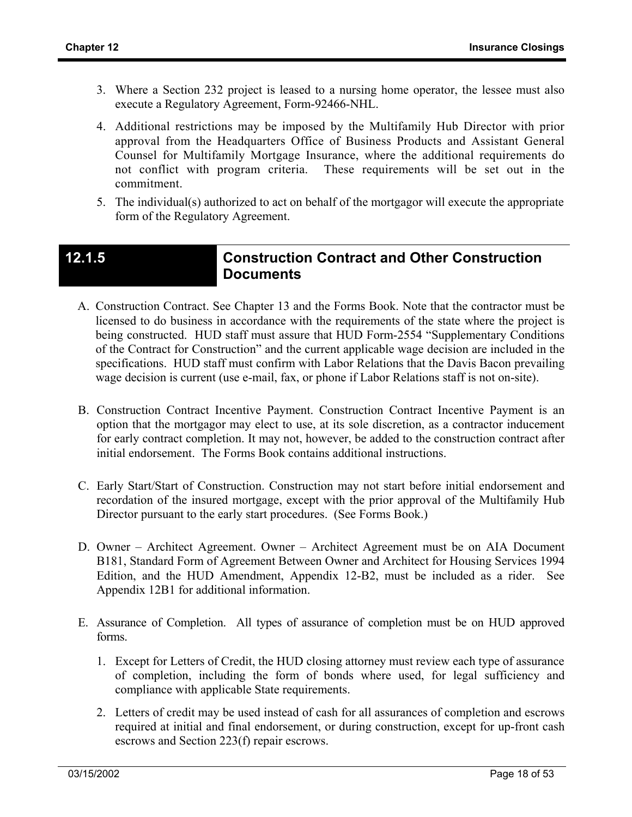- 3. Where a Section 232 project is leased to a nursing home operator, the lessee must also execute a Regulatory Agreement, Form-92466-NHL.
- 4. Additional restrictions may be imposed by the Multifamily Hub Director with prior approval from the Headquarters Office of Business Products and Assistant General Counsel for Multifamily Mortgage Insurance, where the additional requirements do not conflict with program criteria. These requirements will be set out in the commitment.
- 5. The individual(s) authorized to act on behalf of the mortgagor will execute the appropriate form of the Regulatory Agreement.

### **12.1.5 Construction Contract and Other Construction Documents**

- A. Construction Contract. See Chapter 13 and the Forms Book. Note that the contractor must be licensed to do business in accordance with the requirements of the state where the project is being constructed. HUD staff must assure that HUD Form-2554 "Supplementary Conditions of the Contract for Construction" and the current applicable wage decision are included in the specifications. HUD staff must confirm with Labor Relations that the Davis Bacon prevailing wage decision is current (use e-mail, fax, or phone if Labor Relations staff is not on-site).
- B. Construction Contract Incentive Payment. Construction Contract Incentive Payment is an option that the mortgagor may elect to use, at its sole discretion, as a contractor inducement for early contract completion. It may not, however, be added to the construction contract after initial endorsement. The Forms Book contains additional instructions.
- C. Early Start/Start of Construction. Construction may not start before initial endorsement and recordation of the insured mortgage, except with the prior approval of the Multifamily Hub Director pursuant to the early start procedures. (See Forms Book.)
- D. Owner Architect Agreement. Owner Architect Agreement must be on AIA Document B181, Standard Form of Agreement Between Owner and Architect for Housing Services 1994 Edition, and the HUD Amendment, Appendix 12-B2, must be included as a rider. See Appendix 12B1 for additional information.
- E. Assurance of Completion. All types of assurance of completion must be on HUD approved forms.
	- 1. Except for Letters of Credit, the HUD closing attorney must review each type of assurance of completion, including the form of bonds where used, for legal sufficiency and compliance with applicable State requirements.
	- 2. Letters of credit may be used instead of cash for all assurances of completion and escrows required at initial and final endorsement, or during construction, except for up-front cash escrows and Section 223(f) repair escrows.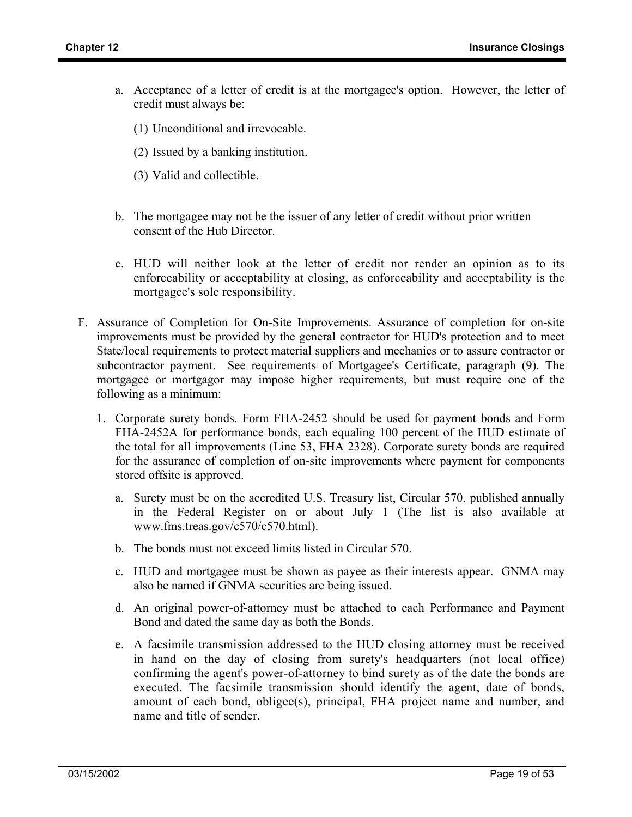- a. Acceptance of a letter of credit is at the mortgagee's option. However, the letter of credit must always be:
	- (1) Unconditional and irrevocable.
	- (2) Issued by a banking institution.
	- (3) Valid and collectible.
- b. The mortgagee may not be the issuer of any letter of credit without prior written consent of the Hub Director.
- c. HUD will neither look at the letter of credit nor render an opinion as to its enforceability or acceptability at closing, as enforceability and acceptability is the mortgagee's sole responsibility.
- F. Assurance of Completion for On-Site Improvements. Assurance of completion for on-site improvements must be provided by the general contractor for HUD's protection and to meet State/local requirements to protect material suppliers and mechanics or to assure contractor or subcontractor payment. See requirements of Mortgagee's Certificate, paragraph (9). The mortgagee or mortgagor may impose higher requirements, but must require one of the following as a minimum:
	- 1. Corporate surety bonds. Form FHA-2452 should be used for payment bonds and Form FHA-2452A for performance bonds, each equaling 100 percent of the HUD estimate of the total for all improvements (Line 53, FHA 2328). Corporate surety bonds are required for the assurance of completion of on-site improvements where payment for components stored offsite is approved.
		- a. Surety must be on the accredited U.S. Treasury list, Circular 570, published annually in the Federal Register on or about July 1 (The list is also available at www.fms.treas.gov/c570/c570.html).
		- b. The bonds must not exceed limits listed in Circular 570.
		- c. HUD and mortgagee must be shown as payee as their interests appear. GNMA may also be named if GNMA securities are being issued.
		- d. An original power-of-attorney must be attached to each Performance and Payment Bond and dated the same day as both the Bonds.
		- e. A facsimile transmission addressed to the HUD closing attorney must be received in hand on the day of closing from surety's headquarters (not local office) confirming the agent's power-of-attorney to bind surety as of the date the bonds are executed. The facsimile transmission should identify the agent, date of bonds, amount of each bond, obligee(s), principal, FHA project name and number, and name and title of sender.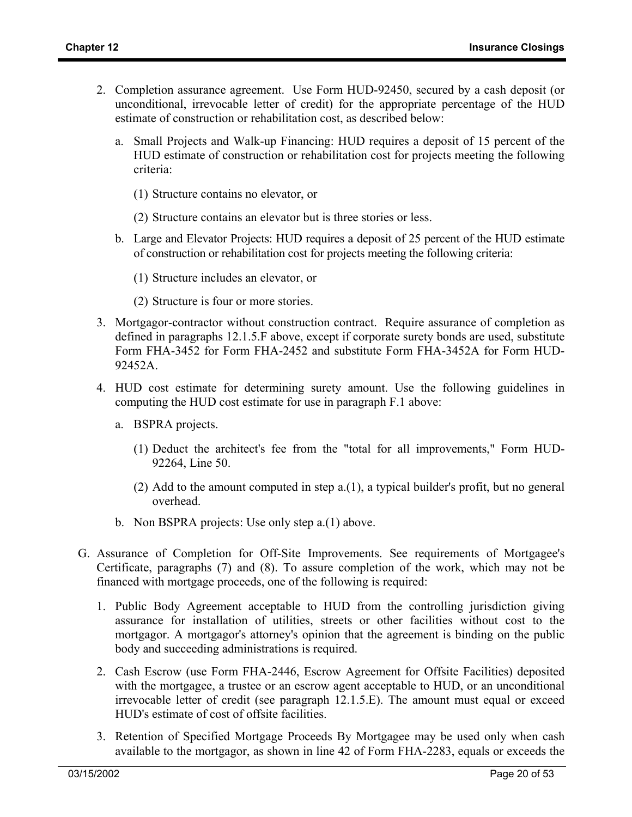- 2. Completion assurance agreement. Use Form HUD-92450, secured by a cash deposit (or unconditional, irrevocable letter of credit) for the appropriate percentage of the HUD estimate of construction or rehabilitation cost, as described below:
	- a. Small Projects and Walk-up Financing: HUD requires a deposit of 15 percent of the HUD estimate of construction or rehabilitation cost for projects meeting the following criteria:
		- (1) Structure contains no elevator, or
		- (2) Structure contains an elevator but is three stories or less.
	- b. Large and Elevator Projects: HUD requires a deposit of 25 percent of the HUD estimate of construction or rehabilitation cost for projects meeting the following criteria:
		- (1) Structure includes an elevator, or
		- (2) Structure is four or more stories.
- 3. Mortgagor-contractor without construction contract. Require assurance of completion as defined in paragraphs 12.1.5.F above, except if corporate surety bonds are used, substitute Form FHA-3452 for Form FHA-2452 and substitute Form FHA-3452A for Form HUD-92452A.
- 4. HUD cost estimate for determining surety amount. Use the following guidelines in computing the HUD cost estimate for use in paragraph F.1 above:
	- a. BSPRA projects.
		- (1) Deduct the architect's fee from the "total for all improvements," Form HUD-92264, Line 50.
		- (2) Add to the amount computed in step a.(1), a typical builder's profit, but no general overhead.
	- b. Non BSPRA projects: Use only step a.(1) above.
- G. Assurance of Completion for Off-Site Improvements. See requirements of Mortgagee's Certificate, paragraphs (7) and (8). To assure completion of the work, which may not be financed with mortgage proceeds, one of the following is required:
	- 1. Public Body Agreement acceptable to HUD from the controlling jurisdiction giving assurance for installation of utilities, streets or other facilities without cost to the mortgagor. A mortgagor's attorney's opinion that the agreement is binding on the public body and succeeding administrations is required.
	- 2. Cash Escrow (use Form FHA-2446, Escrow Agreement for Offsite Facilities) deposited with the mortgagee, a trustee or an escrow agent acceptable to HUD, or an unconditional irrevocable letter of credit (see paragraph 12.1.5.E). The amount must equal or exceed HUD's estimate of cost of offsite facilities.
	- 3. Retention of Specified Mortgage Proceeds By Mortgagee may be used only when cash available to the mortgagor, as shown in line 42 of Form FHA-2283, equals or exceeds the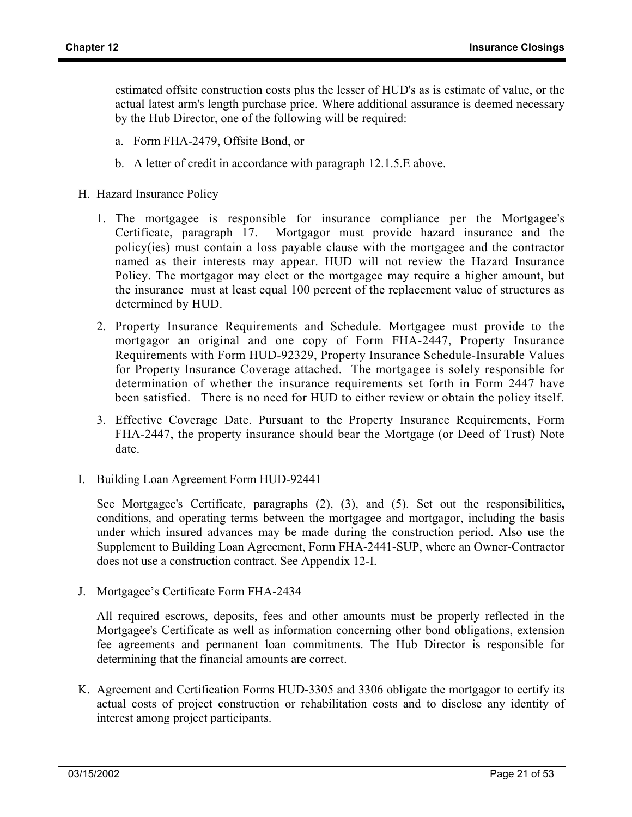estimated offsite construction costs plus the lesser of HUD's as is estimate of value, or the actual latest arm's length purchase price. Where additional assurance is deemed necessary by the Hub Director, one of the following will be required:

- a. Form FHA-2479, Offsite Bond, or
- b. A letter of credit in accordance with paragraph 12.1.5.E above.
- H. Hazard Insurance Policy
	- 1. The mortgagee is responsible for insurance compliance per the Mortgagee's Certificate, paragraph 17. Mortgagor must provide hazard insurance and the policy(ies) must contain a loss payable clause with the mortgagee and the contractor named as their interests may appear. HUD will not review the Hazard Insurance Policy. The mortgagor may elect or the mortgagee may require a higher amount, but the insurance must at least equal 100 percent of the replacement value of structures as determined by HUD.
	- 2. Property Insurance Requirements and Schedule. Mortgagee must provide to the mortgagor an original and one copy of Form FHA-2447, Property Insurance Requirements with Form HUD-92329, Property Insurance Schedule-Insurable Values for Property Insurance Coverage attached. The mortgagee is solely responsible for determination of whether the insurance requirements set forth in Form 2447 have been satisfied. There is no need for HUD to either review or obtain the policy itself.
	- 3. Effective Coverage Date. Pursuant to the Property Insurance Requirements, Form FHA-2447, the property insurance should bear the Mortgage (or Deed of Trust) Note date.
- I. Building Loan Agreement Form HUD-92441

See Mortgagee's Certificate, paragraphs (2), (3), and (5). Set out the responsibilities**,**  conditions, and operating terms between the mortgagee and mortgagor, including the basis under which insured advances may be made during the construction period. Also use the Supplement to Building Loan Agreement, Form FHA-2441-SUP, where an Owner-Contractor does not use a construction contract. See Appendix 12-I.

J. Mortgagee's Certificate Form FHA-2434

All required escrows, deposits, fees and other amounts must be properly reflected in the Mortgagee's Certificate as well as information concerning other bond obligations, extension fee agreements and permanent loan commitments. The Hub Director is responsible for determining that the financial amounts are correct.

K. Agreement and Certification Forms HUD-3305 and 3306 obligate the mortgagor to certify its actual costs of project construction or rehabilitation costs and to disclose any identity of interest among project participants.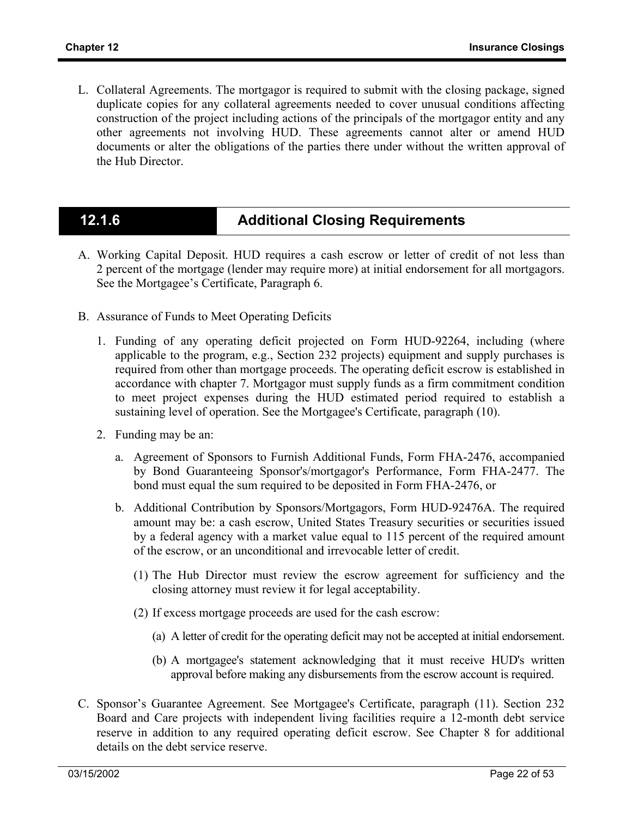L. Collateral Agreements. The mortgagor is required to submit with the closing package, signed duplicate copies for any collateral agreements needed to cover unusual conditions affecting construction of the project including actions of the principals of the mortgagor entity and any other agreements not involving HUD. These agreements cannot alter or amend HUD documents or alter the obligations of the parties there under without the written approval of the Hub Director.

## **12.1.6 Additional Closing Requirements**

- A. Working Capital Deposit. HUD requires a cash escrow or letter of credit of not less than 2 percent of the mortgage (lender may require more) at initial endorsement for all mortgagors. See the Mortgagee's Certificate, Paragraph 6.
- B. Assurance of Funds to Meet Operating Deficits
	- 1. Funding of any operating deficit projected on Form HUD-92264, including (where applicable to the program, e.g., Section 232 projects) equipment and supply purchases is required from other than mortgage proceeds. The operating deficit escrow is established in accordance with chapter 7. Mortgagor must supply funds as a firm commitment condition to meet project expenses during the HUD estimated period required to establish a sustaining level of operation. See the Mortgagee's Certificate, paragraph (10).
	- 2. Funding may be an:
		- a. Agreement of Sponsors to Furnish Additional Funds, Form FHA-2476, accompanied by Bond Guaranteeing Sponsor's/mortgagor's Performance, Form FHA-2477. The bond must equal the sum required to be deposited in Form FHA-2476, or
		- b. Additional Contribution by Sponsors/Mortgagors, Form HUD-92476A. The required amount may be: a cash escrow, United States Treasury securities or securities issued by a federal agency with a market value equal to 115 percent of the required amount of the escrow, or an unconditional and irrevocable letter of credit.
			- (1) The Hub Director must review the escrow agreement for sufficiency and the closing attorney must review it for legal acceptability.
			- (2) If excess mortgage proceeds are used for the cash escrow:
				- (a) A letter of credit for the operating deficit may not be accepted at initial endorsement.
				- (b) A mortgagee's statement acknowledging that it must receive HUD's written approval before making any disbursements from the escrow account is required.
- C. Sponsor's Guarantee Agreement. See Mortgagee's Certificate, paragraph (11). Section 232 Board and Care projects with independent living facilities require a 12-month debt service reserve in addition to any required operating deficit escrow. See Chapter 8 for additional details on the debt service reserve.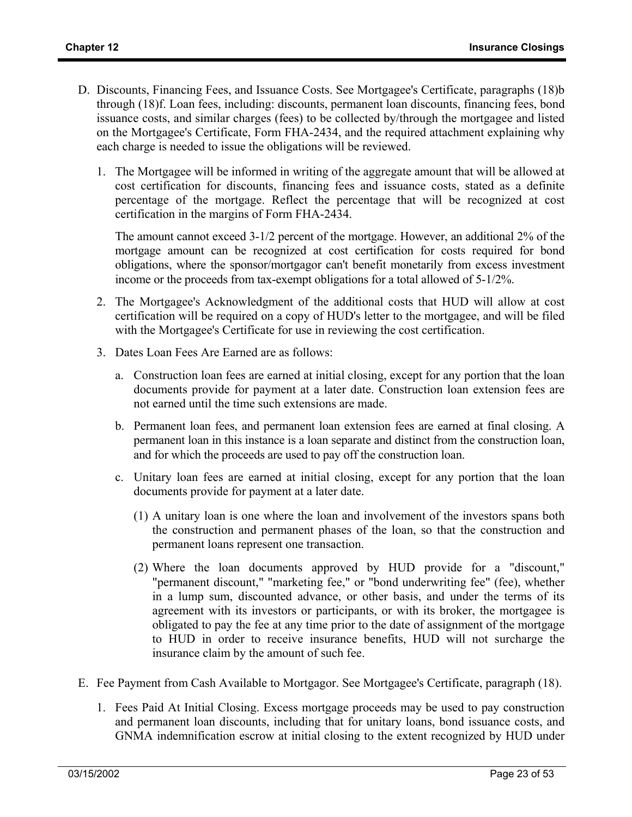- D. Discounts, Financing Fees, and Issuance Costs. See Mortgagee's Certificate, paragraphs (18)b through (18)f. Loan fees, including: discounts, permanent loan discounts, financing fees, bond issuance costs, and similar charges (fees) to be collected by/through the mortgagee and listed on the Mortgagee's Certificate, Form FHA-2434, and the required attachment explaining why each charge is needed to issue the obligations will be reviewed.
	- 1. The Mortgagee will be informed in writing of the aggregate amount that will be allowed at cost certification for discounts, financing fees and issuance costs, stated as a definite percentage of the mortgage. Reflect the percentage that will be recognized at cost certification in the margins of Form FHA-2434.

The amount cannot exceed 3-1/2 percent of the mortgage. However, an additional 2% of the mortgage amount can be recognized at cost certification for costs required for bond obligations, where the sponsor/mortgagor can't benefit monetarily from excess investment income or the proceeds from tax-exempt obligations for a total allowed of 5-1/2%.

- 2. The Mortgagee's Acknowledgment of the additional costs that HUD will allow at cost certification will be required on a copy of HUD's letter to the mortgagee, and will be filed with the Mortgagee's Certificate for use in reviewing the cost certification.
- 3. Dates Loan Fees Are Earned are as follows:
	- a. Construction loan fees are earned at initial closing, except for any portion that the loan documents provide for payment at a later date. Construction loan extension fees are not earned until the time such extensions are made.
	- b. Permanent loan fees, and permanent loan extension fees are earned at final closing. A permanent loan in this instance is a loan separate and distinct from the construction loan, and for which the proceeds are used to pay off the construction loan.
	- c. Unitary loan fees are earned at initial closing, except for any portion that the loan documents provide for payment at a later date.
		- (1) A unitary loan is one where the loan and involvement of the investors spans both the construction and permanent phases of the loan, so that the construction and permanent loans represent one transaction.
		- (2) Where the loan documents approved by HUD provide for a "discount," "permanent discount," "marketing fee," or "bond underwriting fee" (fee), whether in a lump sum, discounted advance, or other basis, and under the terms of its agreement with its investors or participants, or with its broker, the mortgagee is obligated to pay the fee at any time prior to the date of assignment of the mortgage to HUD in order to receive insurance benefits, HUD will not surcharge the insurance claim by the amount of such fee.
- E. Fee Payment from Cash Available to Mortgagor. See Mortgagee's Certificate, paragraph (18).
	- 1. Fees Paid At Initial Closing. Excess mortgage proceeds may be used to pay construction and permanent loan discounts, including that for unitary loans, bond issuance costs, and GNMA indemnification escrow at initial closing to the extent recognized by HUD under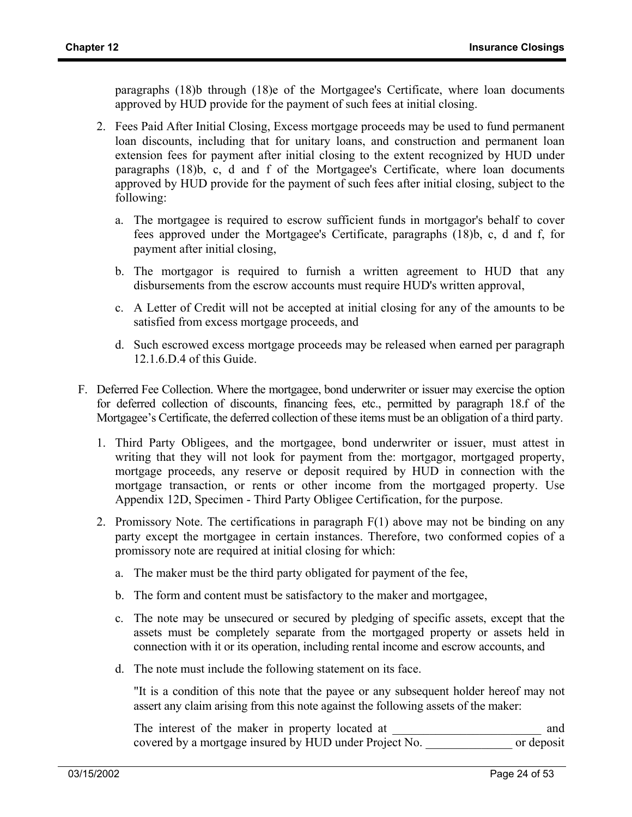paragraphs (18)b through (18)e of the Mortgagee's Certificate, where loan documents approved by HUD provide for the payment of such fees at initial closing.

- 2. Fees Paid After Initial Closing, Excess mortgage proceeds may be used to fund permanent loan discounts, including that for unitary loans, and construction and permanent loan extension fees for payment after initial closing to the extent recognized by HUD under paragraphs (18)b, c, d and f of the Mortgagee's Certificate, where loan documents approved by HUD provide for the payment of such fees after initial closing, subject to the following:
	- a. The mortgagee is required to escrow sufficient funds in mortgagor's behalf to cover fees approved under the Mortgagee's Certificate, paragraphs (18)b, c, d and f, for payment after initial closing,
	- b. The mortgagor is required to furnish a written agreement to HUD that any disbursements from the escrow accounts must require HUD's written approval,
	- c. A Letter of Credit will not be accepted at initial closing for any of the amounts to be satisfied from excess mortgage proceeds, and
	- d. Such escrowed excess mortgage proceeds may be released when earned per paragraph 12.1.6.D.4 of this Guide.
- F. Deferred Fee Collection. Where the mortgagee, bond underwriter or issuer may exercise the option for deferred collection of discounts, financing fees, etc., permitted by paragraph 18.f of the Mortgagee's Certificate, the deferred collection of these items must be an obligation of a third party.
	- 1. Third Party Obligees, and the mortgagee, bond underwriter or issuer, must attest in writing that they will not look for payment from the: mortgagor, mortgaged property, mortgage proceeds, any reserve or deposit required by HUD in connection with the mortgage transaction, or rents or other income from the mortgaged property. Use Appendix 12D, Specimen - Third Party Obligee Certification, for the purpose.
	- 2. Promissory Note. The certifications in paragraph F(1) above may not be binding on any party except the mortgagee in certain instances. Therefore, two conformed copies of a promissory note are required at initial closing for which:
		- a. The maker must be the third party obligated for payment of the fee,
		- b. The form and content must be satisfactory to the maker and mortgagee,
		- c. The note may be unsecured or secured by pledging of specific assets, except that the assets must be completely separate from the mortgaged property or assets held in connection with it or its operation, including rental income and escrow accounts, and
		- d. The note must include the following statement on its face.

"It is a condition of this note that the payee or any subsequent holder hereof may not assert any claim arising from this note against the following assets of the maker:

| The interest of the maker in property located at       | and        |
|--------------------------------------------------------|------------|
| covered by a mortgage insured by HUD under Project No. | or deposit |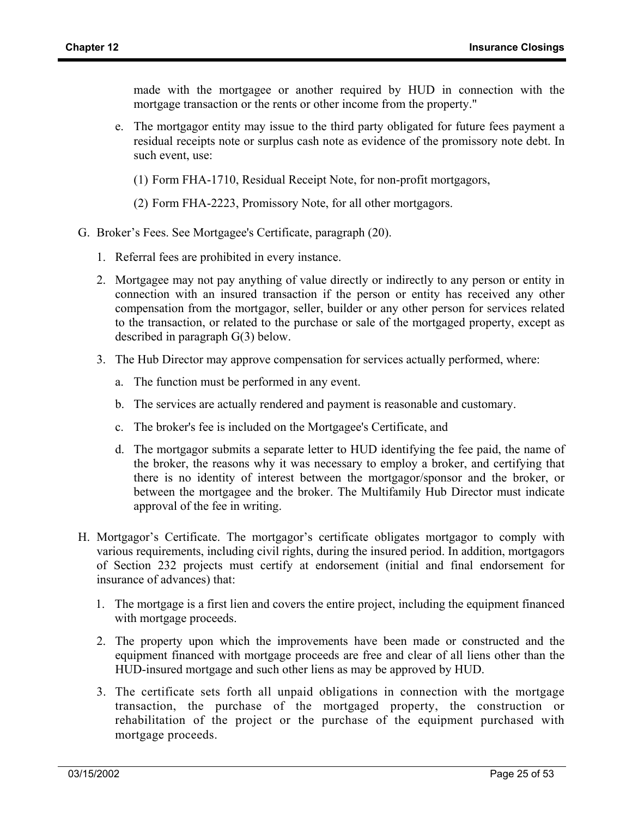made with the mortgagee or another required by HUD in connection with the mortgage transaction or the rents or other income from the property."

- e. The mortgagor entity may issue to the third party obligated for future fees payment a residual receipts note or surplus cash note as evidence of the promissory note debt. In such event, use:
	- (1) Form FHA-1710, Residual Receipt Note, for non-profit mortgagors,
	- (2) Form FHA-2223, Promissory Note, for all other mortgagors.
- G. Broker's Fees. See Mortgagee's Certificate, paragraph (20).
	- 1. Referral fees are prohibited in every instance.
	- 2. Mortgagee may not pay anything of value directly or indirectly to any person or entity in connection with an insured transaction if the person or entity has received any other compensation from the mortgagor, seller, builder or any other person for services related to the transaction, or related to the purchase or sale of the mortgaged property, except as described in paragraph G(3) below.
	- 3. The Hub Director may approve compensation for services actually performed, where:
		- a. The function must be performed in any event.
		- b. The services are actually rendered and payment is reasonable and customary.
		- c. The broker's fee is included on the Mortgagee's Certificate, and
		- d. The mortgagor submits a separate letter to HUD identifying the fee paid, the name of the broker, the reasons why it was necessary to employ a broker, and certifying that there is no identity of interest between the mortgagor/sponsor and the broker, or between the mortgagee and the broker. The Multifamily Hub Director must indicate approval of the fee in writing.
- H. Mortgagor's Certificate. The mortgagor's certificate obligates mortgagor to comply with various requirements, including civil rights, during the insured period. In addition, mortgagors of Section 232 projects must certify at endorsement (initial and final endorsement for insurance of advances) that:
	- 1. The mortgage is a first lien and covers the entire project, including the equipment financed with mortgage proceeds.
	- 2. The property upon which the improvements have been made or constructed and the equipment financed with mortgage proceeds are free and clear of all liens other than the HUD-insured mortgage and such other liens as may be approved by HUD.
	- 3. The certificate sets forth all unpaid obligations in connection with the mortgage transaction, the purchase of the mortgaged property, the construction or rehabilitation of the project or the purchase of the equipment purchased with mortgage proceeds.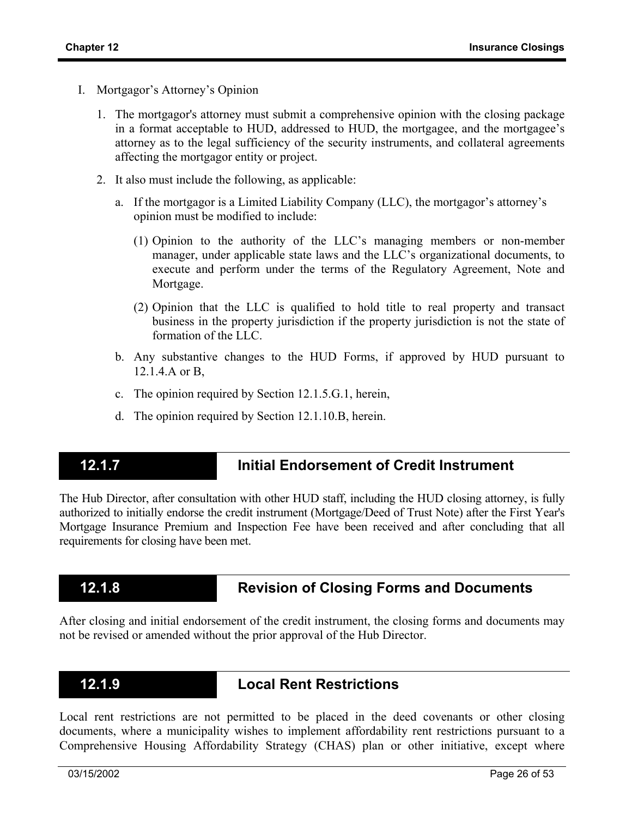- I. Mortgagor's Attorney's Opinion
	- 1. The mortgagor's attorney must submit a comprehensive opinion with the closing package in a format acceptable to HUD, addressed to HUD, the mortgagee, and the mortgagee's attorney as to the legal sufficiency of the security instruments, and collateral agreements affecting the mortgagor entity or project.
	- 2. It also must include the following, as applicable:
		- a. If the mortgagor is a Limited Liability Company (LLC), the mortgagor's attorney's opinion must be modified to include:
			- (1) Opinion to the authority of the LLC's managing members or non-member manager, under applicable state laws and the LLC's organizational documents, to execute and perform under the terms of the Regulatory Agreement, Note and Mortgage.
			- (2) Opinion that the LLC is qualified to hold title to real property and transact business in the property jurisdiction if the property jurisdiction is not the state of formation of the LLC.
		- b. Any substantive changes to the HUD Forms, if approved by HUD pursuant to 12.1.4.A or B,
		- c. The opinion required by Section 12.1.5.G.1, herein,
		- d. The opinion required by Section 12.1.10.B, herein.

### **12.1.7 Initial Endorsement of Credit Instrument**

The Hub Director, after consultation with other HUD staff, including the HUD closing attorney, is fully authorized to initially endorse the credit instrument (Mortgage/Deed of Trust Note) after the First Year's Mortgage Insurance Premium and Inspection Fee have been received and after concluding that all requirements for closing have been met.

## **12.1.8 Revision of Closing Forms and Documents**

After closing and initial endorsement of the credit instrument, the closing forms and documents may not be revised or amended without the prior approval of the Hub Director.

### **12.1.9 Local Rent Restrictions**

Local rent restrictions are not permitted to be placed in the deed covenants or other closing documents, where a municipality wishes to implement affordability rent restrictions pursuant to a Comprehensive Housing Affordability Strategy (CHAS) plan or other initiative, except where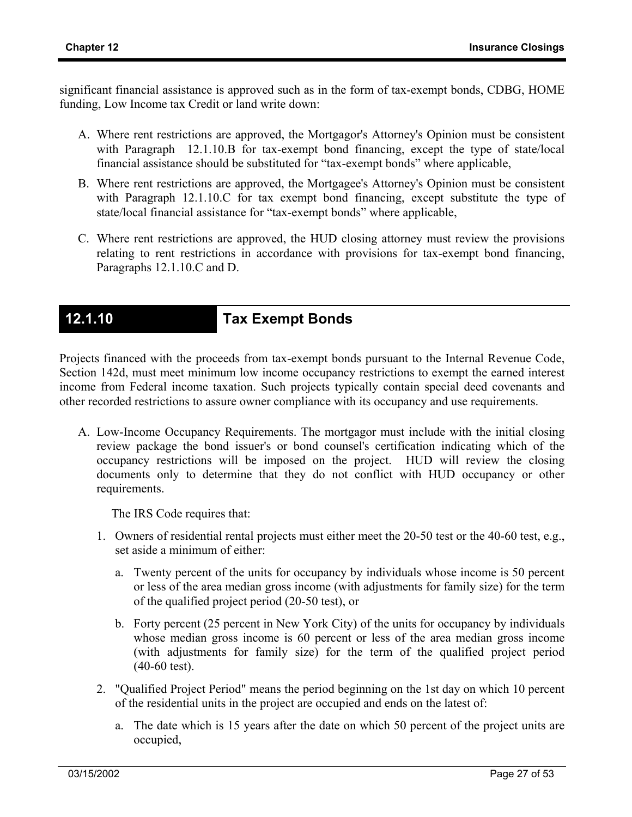significant financial assistance is approved such as in the form of tax-exempt bonds, CDBG, HOME funding, Low Income tax Credit or land write down:

- A. Where rent restrictions are approved, the Mortgagor's Attorney's Opinion must be consistent with Paragraph 12.1.10.B for tax-exempt bond financing, except the type of state/local financial assistance should be substituted for "tax-exempt bonds" where applicable,
- B. Where rent restrictions are approved, the Mortgagee's Attorney's Opinion must be consistent with Paragraph 12.1.10.C for tax exempt bond financing, except substitute the type of state/local financial assistance for "tax-exempt bonds" where applicable,
- C. Where rent restrictions are approved, the HUD closing attorney must review the provisions relating to rent restrictions in accordance with provisions for tax-exempt bond financing, Paragraphs 12.1.10.C and D.

## **12.1.10 Tax Exempt Bonds**

Projects financed with the proceeds from tax-exempt bonds pursuant to the Internal Revenue Code, Section 142d, must meet minimum low income occupancy restrictions to exempt the earned interest income from Federal income taxation. Such projects typically contain special deed covenants and other recorded restrictions to assure owner compliance with its occupancy and use requirements.

A. Low-Income Occupancy Requirements. The mortgagor must include with the initial closing review package the bond issuer's or bond counsel's certification indicating which of the occupancy restrictions will be imposed on the project. HUD will review the closing documents only to determine that they do not conflict with HUD occupancy or other requirements.

The IRS Code requires that:

- 1. Owners of residential rental projects must either meet the 20-50 test or the 40-60 test, e.g., set aside a minimum of either:
	- a. Twenty percent of the units for occupancy by individuals whose income is 50 percent or less of the area median gross income (with adjustments for family size) for the term of the qualified project period (20-50 test), or
	- b. Forty percent (25 percent in New York City) of the units for occupancy by individuals whose median gross income is 60 percent or less of the area median gross income (with adjustments for family size) for the term of the qualified project period (40-60 test).
- 2. "Qualified Project Period" means the period beginning on the 1st day on which 10 percent of the residential units in the project are occupied and ends on the latest of:
	- a. The date which is 15 years after the date on which 50 percent of the project units are occupied,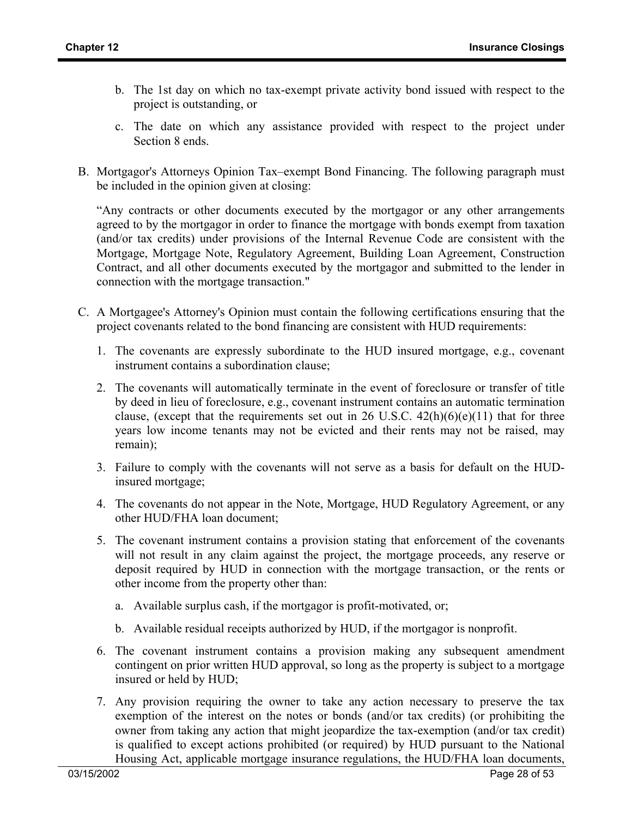- b. The 1st day on which no tax-exempt private activity bond issued with respect to the project is outstanding, or
- c. The date on which any assistance provided with respect to the project under Section 8 ends.
- B. Mortgagor's Attorneys Opinion Tax–exempt Bond Financing. The following paragraph must be included in the opinion given at closing:

"Any contracts or other documents executed by the mortgagor or any other arrangements agreed to by the mortgagor in order to finance the mortgage with bonds exempt from taxation (and/or tax credits) under provisions of the Internal Revenue Code are consistent with the Mortgage, Mortgage Note, Regulatory Agreement, Building Loan Agreement, Construction Contract, and all other documents executed by the mortgagor and submitted to the lender in connection with the mortgage transaction."

- C. A Mortgagee's Attorney's Opinion must contain the following certifications ensuring that the project covenants related to the bond financing are consistent with HUD requirements:
	- 1. The covenants are expressly subordinate to the HUD insured mortgage, e.g., covenant instrument contains a subordination clause;
	- 2. The covenants will automatically terminate in the event of foreclosure or transfer of title by deed in lieu of foreclosure, e.g., covenant instrument contains an automatic termination clause, (except that the requirements set out in 26 U.S.C.  $42(h)(6)(e)(11)$  that for three years low income tenants may not be evicted and their rents may not be raised, may remain);
	- 3. Failure to comply with the covenants will not serve as a basis for default on the HUDinsured mortgage;
	- 4. The covenants do not appear in the Note, Mortgage, HUD Regulatory Agreement, or any other HUD/FHA loan document;
	- 5. The covenant instrument contains a provision stating that enforcement of the covenants will not result in any claim against the project, the mortgage proceeds, any reserve or deposit required by HUD in connection with the mortgage transaction, or the rents or other income from the property other than:
		- a. Available surplus cash, if the mortgagor is profit-motivated, or;
		- b. Available residual receipts authorized by HUD, if the mortgagor is nonprofit.
	- 6. The covenant instrument contains a provision making any subsequent amendment contingent on prior written HUD approval, so long as the property is subject to a mortgage insured or held by HUD;
	- 7. Any provision requiring the owner to take any action necessary to preserve the tax exemption of the interest on the notes or bonds (and/or tax credits) (or prohibiting the owner from taking any action that might jeopardize the tax-exemption (and/or tax credit) is qualified to except actions prohibited (or required) by HUD pursuant to the National Housing Act, applicable mortgage insurance regulations, the HUD/FHA loan documents,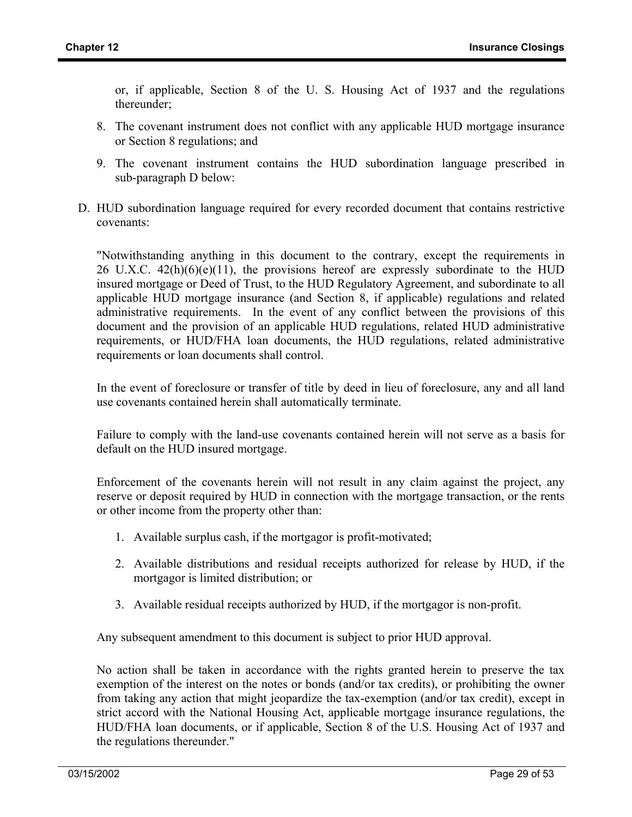or, if applicable, Section 8 of the U. S. Housing Act of 1937 and the regulations thereunder;

- 8. The covenant instrument does not conflict with any applicable HUD mortgage insurance or Section 8 regulations; and
- 9. The covenant instrument contains the HUD subordination language prescribed in sub-paragraph D below:
- D. HUD subordination language required for every recorded document that contains restrictive covenants:

"Notwithstanding anything in this document to the contrary, except the requirements in 26 U.X.C.  $42(h)(6)(e)(11)$ , the provisions hereof are expressly subordinate to the HUD insured mortgage or Deed of Trust, to the HUD Regulatory Agreement, and subordinate to all applicable HUD mortgage insurance (and Section 8, if applicable) regulations and related administrative requirements. In the event of any conflict between the provisions of this document and the provision of an applicable HUD regulations, related HUD administrative requirements, or HUD/FHA loan documents, the HUD regulations, related administrative requirements or loan documents shall control.

In the event of foreclosure or transfer of title by deed in lieu of foreclosure, any and all land use covenants contained herein shall automatically terminate.

Failure to comply with the land-use covenants contained herein will not serve as a basis for default on the HUD insured mortgage.

Enforcement of the covenants herein will not result in any claim against the project, any reserve or deposit required by HUD in connection with the mortgage transaction, or the rents or other income from the property other than:

- 1. Available surplus cash, if the mortgagor is profit-motivated;
- 2. Available distributions and residual receipts authorized for release by HUD, if the mortgagor is limited distribution; or
- 3. Available residual receipts authorized by HUD, if the mortgagor is non-profit.

Any subsequent amendment to this document is subject to prior HUD approval.

No action shall be taken in accordance with the rights granted herein to preserve the tax exemption of the interest on the notes or bonds (and/or tax credits), or prohibiting the owner from taking any action that might jeopardize the tax-exemption (and/or tax credit), except in strict accord with the National Housing Act, applicable mortgage insurance regulations, the HUD/FHA loan documents, or if applicable, Section 8 of the U.S. Housing Act of 1937 and the regulations thereunder."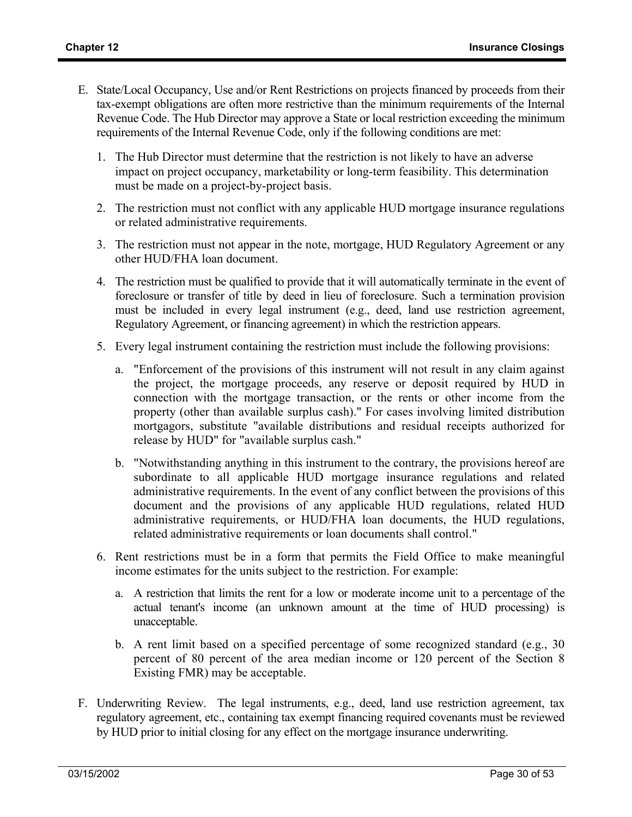- E. State/Local Occupancy, Use and/or Rent Restrictions on projects financed by proceeds from their tax-exempt obligations are often more restrictive than the minimum requirements of the Internal Revenue Code. The Hub Director may approve a State or local restriction exceeding the minimum requirements of the Internal Revenue Code, only if the following conditions are met:
	- 1. The Hub Director must determine that the restriction is not likely to have an adverse impact on project occupancy, marketability or long-term feasibility. This determination must be made on a project-by-project basis.
	- 2. The restriction must not conflict with any applicable HUD mortgage insurance regulations or related administrative requirements.
	- 3. The restriction must not appear in the note, mortgage, HUD Regulatory Agreement or any other HUD/FHA loan document.
	- 4. The restriction must be qualified to provide that it will automatically terminate in the event of foreclosure or transfer of title by deed in lieu of foreclosure. Such a termination provision must be included in every legal instrument (e.g., deed, land use restriction agreement, Regulatory Agreement, or financing agreement) in which the restriction appears.
	- 5. Every legal instrument containing the restriction must include the following provisions:
		- a. "Enforcement of the provisions of this instrument will not result in any claim against the project, the mortgage proceeds, any reserve or deposit required by HUD in connection with the mortgage transaction, or the rents or other income from the property (other than available surplus cash)." For cases involving limited distribution mortgagors, substitute "available distributions and residual receipts authorized for release by HUD" for "available surplus cash."
		- b. "Notwithstanding anything in this instrument to the contrary, the provisions hereof are subordinate to all applicable HUD mortgage insurance regulations and related administrative requirements. In the event of any conflict between the provisions of this document and the provisions of any applicable HUD regulations, related HUD administrative requirements, or HUD/FHA loan documents, the HUD regulations, related administrative requirements or loan documents shall control."
	- 6. Rent restrictions must be in a form that permits the Field Office to make meaningful income estimates for the units subject to the restriction. For example:
		- a. A restriction that limits the rent for a low or moderate income unit to a percentage of the actual tenant's income (an unknown amount at the time of HUD processing) is unacceptable.
		- b. A rent limit based on a specified percentage of some recognized standard (e.g., 30 percent of 80 percent of the area median income or 120 percent of the Section 8 Existing FMR) may be acceptable.
- F. Underwriting Review. The legal instruments, e.g., deed, land use restriction agreement, tax regulatory agreement, etc., containing tax exempt financing required covenants must be reviewed by HUD prior to initial closing for any effect on the mortgage insurance underwriting.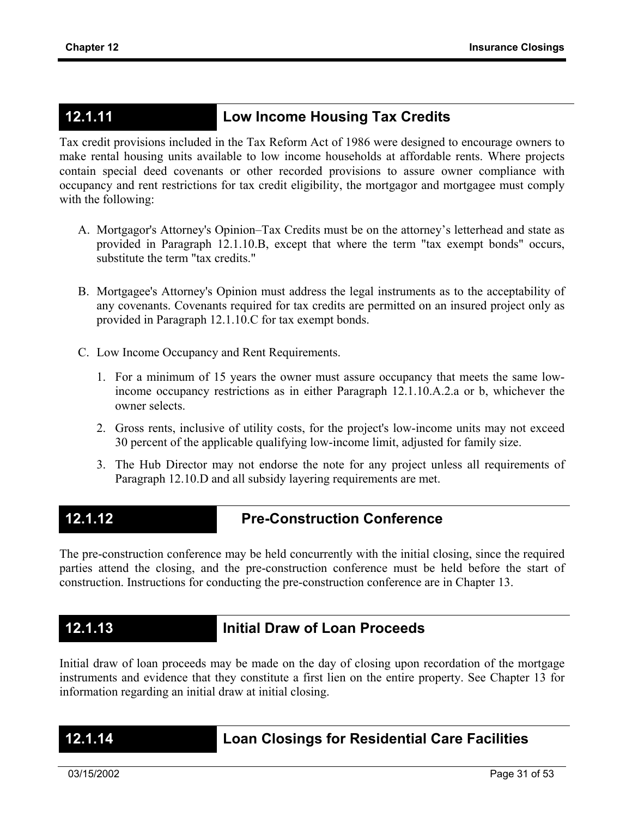## **12.1.11 Low Income Housing Tax Credits**

Tax credit provisions included in the Tax Reform Act of 1986 were designed to encourage owners to make rental housing units available to low income households at affordable rents. Where projects contain special deed covenants or other recorded provisions to assure owner compliance with occupancy and rent restrictions for tax credit eligibility, the mortgagor and mortgagee must comply with the following:

- A. Mortgagor's Attorney's Opinion–Tax Credits must be on the attorney's letterhead and state as provided in Paragraph 12.1.10.B, except that where the term "tax exempt bonds" occurs, substitute the term "tax credits."
- B. Mortgagee's Attorney's Opinion must address the legal instruments as to the acceptability of any covenants. Covenants required for tax credits are permitted on an insured project only as provided in Paragraph 12.1.10.C for tax exempt bonds.
- C. Low Income Occupancy and Rent Requirements.
	- 1. For a minimum of 15 years the owner must assure occupancy that meets the same lowincome occupancy restrictions as in either Paragraph 12.1.10.A.2.a or b, whichever the owner selects.
	- 2. Gross rents, inclusive of utility costs, for the project's low-income units may not exceed 30 percent of the applicable qualifying low-income limit, adjusted for family size.
	- 3. The Hub Director may not endorse the note for any project unless all requirements of Paragraph 12.10.D and all subsidy layering requirements are met.

## **12.1.12 Pre-Construction Conference**

The pre-construction conference may be held concurrently with the initial closing, since the required parties attend the closing, and the pre-construction conference must be held before the start of construction. Instructions for conducting the pre-construction conference are in Chapter 13.

## **12.1.13 Initial Draw of Loan Proceeds**

Initial draw of loan proceeds may be made on the day of closing upon recordation of the mortgage instruments and evidence that they constitute a first lien on the entire property. See Chapter 13 for information regarding an initial draw at initial closing.

## **12.1.14 Loan Closings for Residential Care Facilities**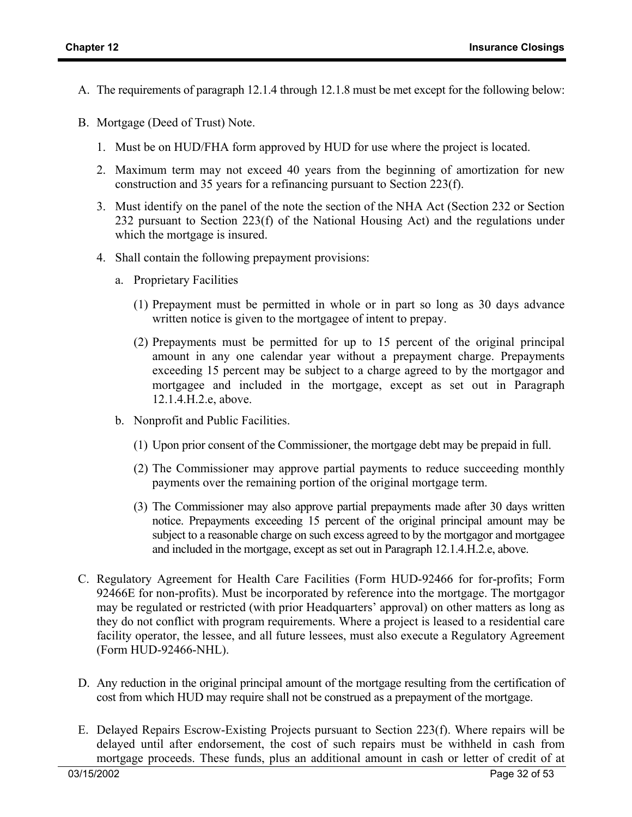- A. The requirements of paragraph 12.1.4 through 12.1.8 must be met except for the following below:
- B. Mortgage (Deed of Trust) Note.
	- 1. Must be on HUD/FHA form approved by HUD for use where the project is located.
	- 2. Maximum term may not exceed 40 years from the beginning of amortization for new construction and 35 years for a refinancing pursuant to Section 223(f).
	- 3. Must identify on the panel of the note the section of the NHA Act (Section 232 or Section 232 pursuant to Section 223(f) of the National Housing Act) and the regulations under which the mortgage is insured.
	- 4. Shall contain the following prepayment provisions:
		- a. Proprietary Facilities
			- (1) Prepayment must be permitted in whole or in part so long as 30 days advance written notice is given to the mortgagee of intent to prepay.
			- (2) Prepayments must be permitted for up to 15 percent of the original principal amount in any one calendar year without a prepayment charge. Prepayments exceeding 15 percent may be subject to a charge agreed to by the mortgagor and mortgagee and included in the mortgage, except as set out in Paragraph 12.1.4.H.2.e, above.
		- b. Nonprofit and Public Facilities.
			- (1) Upon prior consent of the Commissioner, the mortgage debt may be prepaid in full.
			- (2) The Commissioner may approve partial payments to reduce succeeding monthly payments over the remaining portion of the original mortgage term.
			- (3) The Commissioner may also approve partial prepayments made after 30 days written notice. Prepayments exceeding 15 percent of the original principal amount may be subject to a reasonable charge on such excess agreed to by the mortgagor and mortgagee and included in the mortgage, except as set out in Paragraph 12.1.4.H.2.e, above.
- C. Regulatory Agreement for Health Care Facilities (Form HUD-92466 for for-profits; Form 92466E for non-profits). Must be incorporated by reference into the mortgage. The mortgagor may be regulated or restricted (with prior Headquarters' approval) on other matters as long as they do not conflict with program requirements. Where a project is leased to a residential care facility operator, the lessee, and all future lessees, must also execute a Regulatory Agreement (Form HUD-92466-NHL).
- D. Any reduction in the original principal amount of the mortgage resulting from the certification of cost from which HUD may require shall not be construed as a prepayment of the mortgage.
- E. Delayed Repairs Escrow-Existing Projects pursuant to Section 223(f). Where repairs will be delayed until after endorsement, the cost of such repairs must be withheld in cash from mortgage proceeds. These funds, plus an additional amount in cash or letter of credit of at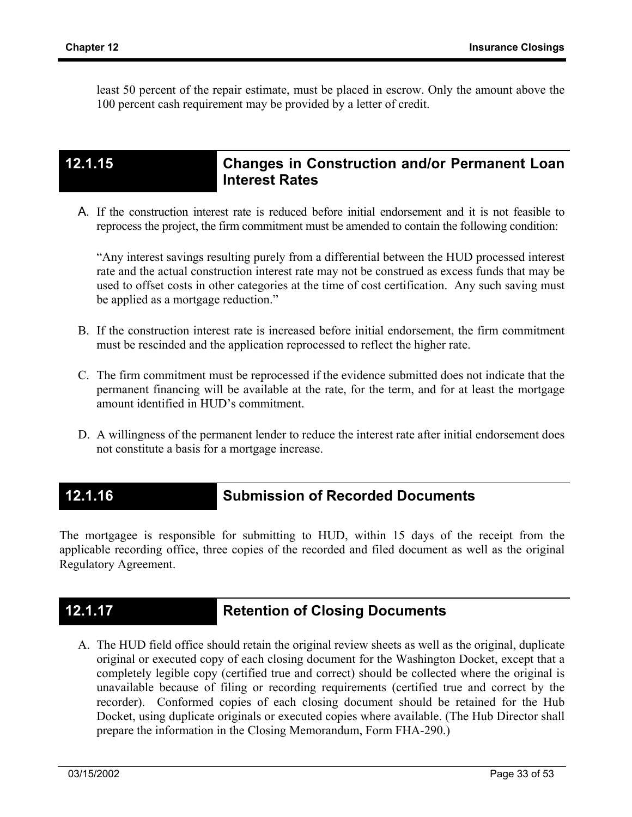least 50 percent of the repair estimate, must be placed in escrow. Only the amount above the 100 percent cash requirement may be provided by a letter of credit.

## **12.1.15 Changes in Construction and/or Permanent Loan Interest Rates**

A. If the construction interest rate is reduced before initial endorsement and it is not feasible to reprocess the project, the firm commitment must be amended to contain the following condition:

"Any interest savings resulting purely from a differential between the HUD processed interest rate and the actual construction interest rate may not be construed as excess funds that may be used to offset costs in other categories at the time of cost certification. Any such saving must be applied as a mortgage reduction."

- B. If the construction interest rate is increased before initial endorsement, the firm commitment must be rescinded and the application reprocessed to reflect the higher rate.
- C. The firm commitment must be reprocessed if the evidence submitted does not indicate that the permanent financing will be available at the rate, for the term, and for at least the mortgage amount identified in HUD's commitment.
- D. A willingness of the permanent lender to reduce the interest rate after initial endorsement does not constitute a basis for a mortgage increase.

## **12.1.16 Submission of Recorded Documents**

The mortgagee is responsible for submitting to HUD, within 15 days of the receipt from the applicable recording office, three copies of the recorded and filed document as well as the original Regulatory Agreement.

## **12.1.17 Retention of Closing Documents**

A. The HUD field office should retain the original review sheets as well as the original, duplicate original or executed copy of each closing document for the Washington Docket, except that a completely legible copy (certified true and correct) should be collected where the original is unavailable because of filing or recording requirements (certified true and correct by the recorder). Conformed copies of each closing document should be retained for the Hub Docket, using duplicate originals or executed copies where available. (The Hub Director shall prepare the information in the Closing Memorandum, Form FHA-290.)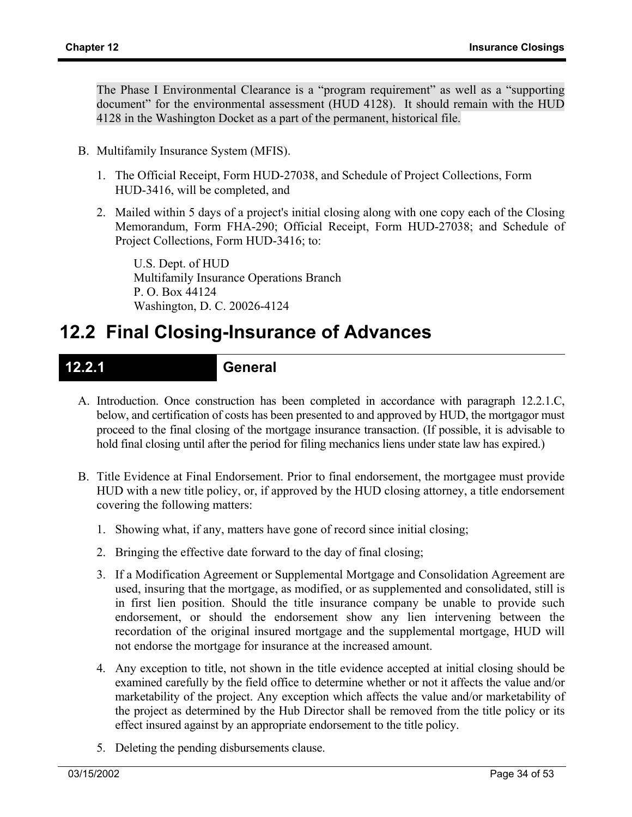The Phase I Environmental Clearance is a "program requirement" as well as a "supporting document" for the environmental assessment (HUD 4128). It should remain with the HUD 4128 in the Washington Docket as a part of the permanent, historical file.

- B. Multifamily Insurance System (MFIS).
	- 1. The Official Receipt, Form HUD-27038, and Schedule of Project Collections, Form HUD-3416, will be completed, and
	- 2. Mailed within 5 days of a project's initial closing along with one copy each of the Closing Memorandum, Form FHA-290; Official Receipt, Form HUD-27038; and Schedule of Project Collections, Form HUD-3416; to:

U.S. Dept. of HUD Multifamily Insurance Operations Branch P. O. Box 44124 Washington, D. C. 20026-4124

# **12.2 Final Closing-Insurance of Advances**

### **12.2.1 General**

- A. Introduction. Once construction has been completed in accordance with paragraph 12.2.1.C, below, and certification of costs has been presented to and approved by HUD, the mortgagor must proceed to the final closing of the mortgage insurance transaction. (If possible, it is advisable to hold final closing until after the period for filing mechanics liens under state law has expired.)
- B. Title Evidence at Final Endorsement. Prior to final endorsement, the mortgagee must provide HUD with a new title policy, or, if approved by the HUD closing attorney, a title endorsement covering the following matters:
	- 1. Showing what, if any, matters have gone of record since initial closing;
	- 2. Bringing the effective date forward to the day of final closing;
	- 3. If a Modification Agreement or Supplemental Mortgage and Consolidation Agreement are used, insuring that the mortgage, as modified, or as supplemented and consolidated, still is in first lien position. Should the title insurance company be unable to provide such endorsement, or should the endorsement show any lien intervening between the recordation of the original insured mortgage and the supplemental mortgage, HUD will not endorse the mortgage for insurance at the increased amount.
	- 4. Any exception to title, not shown in the title evidence accepted at initial closing should be examined carefully by the field office to determine whether or not it affects the value and/or marketability of the project. Any exception which affects the value and/or marketability of the project as determined by the Hub Director shall be removed from the title policy or its effect insured against by an appropriate endorsement to the title policy.
	- 5. Deleting the pending disbursements clause.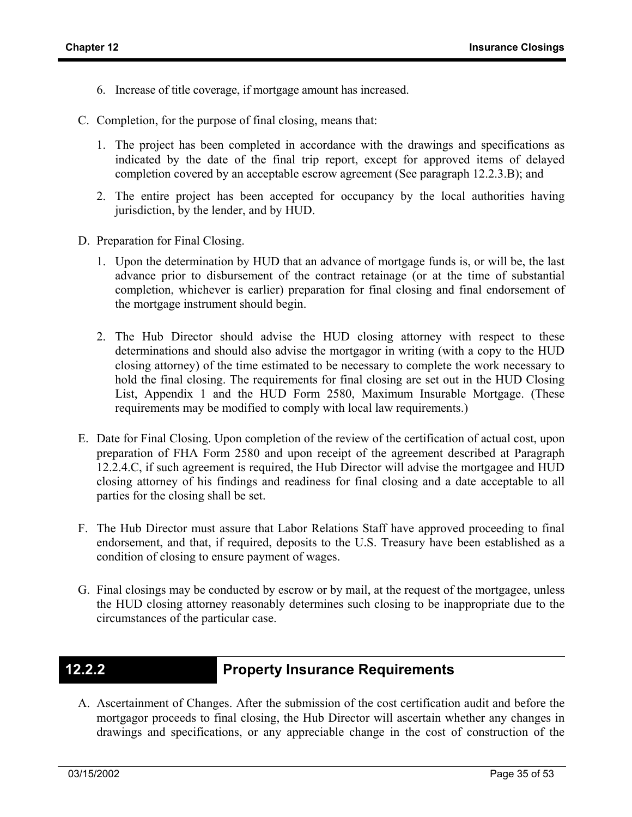- 6. Increase of title coverage, if mortgage amount has increased.
- C. Completion, for the purpose of final closing, means that:
	- 1. The project has been completed in accordance with the drawings and specifications as indicated by the date of the final trip report, except for approved items of delayed completion covered by an acceptable escrow agreement (See paragraph 12.2.3.B); and
	- 2. The entire project has been accepted for occupancy by the local authorities having jurisdiction, by the lender, and by HUD.
- D. Preparation for Final Closing.
	- 1. Upon the determination by HUD that an advance of mortgage funds is, or will be, the last advance prior to disbursement of the contract retainage (or at the time of substantial completion, whichever is earlier) preparation for final closing and final endorsement of the mortgage instrument should begin.
	- 2. The Hub Director should advise the HUD closing attorney with respect to these determinations and should also advise the mortgagor in writing (with a copy to the HUD closing attorney) of the time estimated to be necessary to complete the work necessary to hold the final closing. The requirements for final closing are set out in the HUD Closing List, Appendix 1 and the HUD Form 2580, Maximum Insurable Mortgage. (These requirements may be modified to comply with local law requirements.)
- E. Date for Final Closing. Upon completion of the review of the certification of actual cost, upon preparation of FHA Form 2580 and upon receipt of the agreement described at Paragraph 12.2.4.C, if such agreement is required, the Hub Director will advise the mortgagee and HUD closing attorney of his findings and readiness for final closing and a date acceptable to all parties for the closing shall be set.
- F. The Hub Director must assure that Labor Relations Staff have approved proceeding to final endorsement, and that, if required, deposits to the U.S. Treasury have been established as a condition of closing to ensure payment of wages.
- G. Final closings may be conducted by escrow or by mail, at the request of the mortgagee, unless the HUD closing attorney reasonably determines such closing to be inappropriate due to the circumstances of the particular case.

## **12.2.2 Property Insurance Requirements**

A. Ascertainment of Changes. After the submission of the cost certification audit and before the mortgagor proceeds to final closing, the Hub Director will ascertain whether any changes in drawings and specifications, or any appreciable change in the cost of construction of the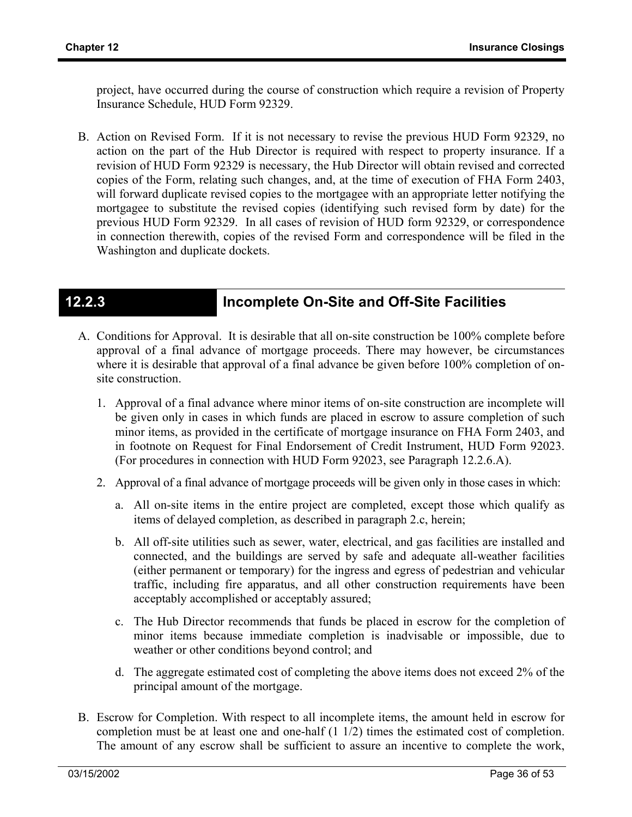project, have occurred during the course of construction which require a revision of Property Insurance Schedule, HUD Form 92329.

B. Action on Revised Form. If it is not necessary to revise the previous HUD Form 92329, no action on the part of the Hub Director is required with respect to property insurance. If a revision of HUD Form 92329 is necessary, the Hub Director will obtain revised and corrected copies of the Form, relating such changes, and, at the time of execution of FHA Form 2403, will forward duplicate revised copies to the mortgagee with an appropriate letter notifying the mortgagee to substitute the revised copies (identifying such revised form by date) for the previous HUD Form 92329. In all cases of revision of HUD form 92329, or correspondence in connection therewith, copies of the revised Form and correspondence will be filed in the Washington and duplicate dockets.

## **12.2.3 Incomplete On-Site and Off-Site Facilities**

- A. Conditions for Approval. It is desirable that all on-site construction be 100% complete before approval of a final advance of mortgage proceeds. There may however, be circumstances where it is desirable that approval of a final advance be given before 100% completion of onsite construction.
	- 1. Approval of a final advance where minor items of on-site construction are incomplete will be given only in cases in which funds are placed in escrow to assure completion of such minor items, as provided in the certificate of mortgage insurance on FHA Form 2403, and in footnote on Request for Final Endorsement of Credit Instrument, HUD Form 92023. (For procedures in connection with HUD Form 92023, see Paragraph 12.2.6.A).
	- 2. Approval of a final advance of mortgage proceeds will be given only in those cases in which:
		- a. All on-site items in the entire project are completed, except those which qualify as items of delayed completion, as described in paragraph 2.c, herein;
		- b. All off-site utilities such as sewer, water, electrical, and gas facilities are installed and connected, and the buildings are served by safe and adequate all-weather facilities (either permanent or temporary) for the ingress and egress of pedestrian and vehicular traffic, including fire apparatus, and all other construction requirements have been acceptably accomplished or acceptably assured;
		- c. The Hub Director recommends that funds be placed in escrow for the completion of minor items because immediate completion is inadvisable or impossible, due to weather or other conditions beyond control; and
		- d. The aggregate estimated cost of completing the above items does not exceed 2% of the principal amount of the mortgage.
- B. Escrow for Completion. With respect to all incomplete items, the amount held in escrow for completion must be at least one and one-half (1 1/2) times the estimated cost of completion. The amount of any escrow shall be sufficient to assure an incentive to complete the work,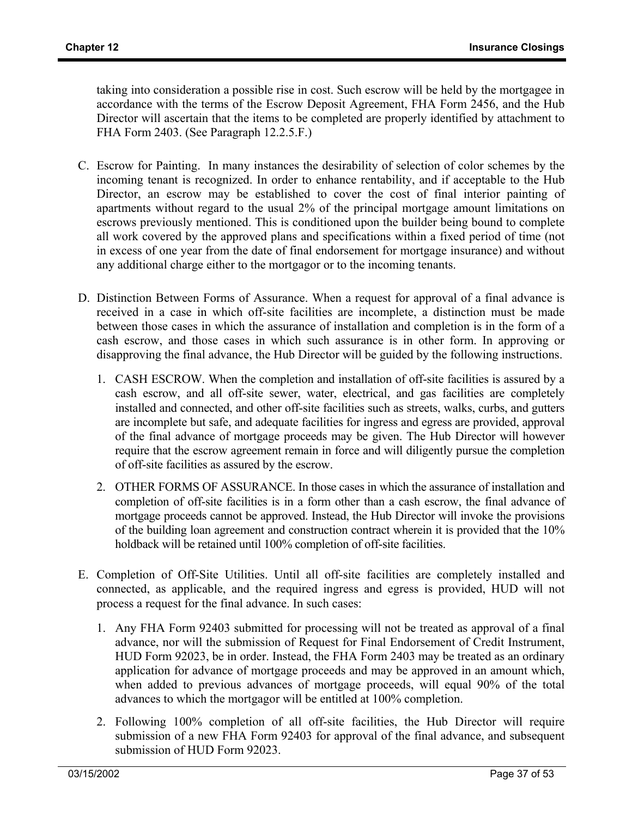taking into consideration a possible rise in cost. Such escrow will be held by the mortgagee in accordance with the terms of the Escrow Deposit Agreement, FHA Form 2456, and the Hub Director will ascertain that the items to be completed are properly identified by attachment to FHA Form 2403. (See Paragraph 12.2.5.F.)

- C. Escrow for Painting. In many instances the desirability of selection of color schemes by the incoming tenant is recognized. In order to enhance rentability, and if acceptable to the Hub Director, an escrow may be established to cover the cost of final interior painting of apartments without regard to the usual 2% of the principal mortgage amount limitations on escrows previously mentioned. This is conditioned upon the builder being bound to complete all work covered by the approved plans and specifications within a fixed period of time (not in excess of one year from the date of final endorsement for mortgage insurance) and without any additional charge either to the mortgagor or to the incoming tenants.
- D. Distinction Between Forms of Assurance. When a request for approval of a final advance is received in a case in which off-site facilities are incomplete, a distinction must be made between those cases in which the assurance of installation and completion is in the form of a cash escrow, and those cases in which such assurance is in other form. In approving or disapproving the final advance, the Hub Director will be guided by the following instructions.
	- 1. CASH ESCROW. When the completion and installation of off-site facilities is assured by a cash escrow, and all off-site sewer, water, electrical, and gas facilities are completely installed and connected, and other off-site facilities such as streets, walks, curbs, and gutters are incomplete but safe, and adequate facilities for ingress and egress are provided, approval of the final advance of mortgage proceeds may be given. The Hub Director will however require that the escrow agreement remain in force and will diligently pursue the completion of off-site facilities as assured by the escrow.
	- 2. OTHER FORMS OF ASSURANCE. In those cases in which the assurance of installation and completion of off-site facilities is in a form other than a cash escrow, the final advance of mortgage proceeds cannot be approved. Instead, the Hub Director will invoke the provisions of the building loan agreement and construction contract wherein it is provided that the 10% holdback will be retained until 100% completion of off-site facilities.
- E. Completion of Off-Site Utilities. Until all off-site facilities are completely installed and connected, as applicable, and the required ingress and egress is provided, HUD will not process a request for the final advance. In such cases:
	- 1. Any FHA Form 92403 submitted for processing will not be treated as approval of a final advance, nor will the submission of Request for Final Endorsement of Credit Instrument, HUD Form 92023, be in order. Instead, the FHA Form 2403 may be treated as an ordinary application for advance of mortgage proceeds and may be approved in an amount which, when added to previous advances of mortgage proceeds, will equal 90% of the total advances to which the mortgagor will be entitled at 100% completion.
	- 2. Following 100% completion of all off-site facilities, the Hub Director will require submission of a new FHA Form 92403 for approval of the final advance, and subsequent submission of HUD Form 92023.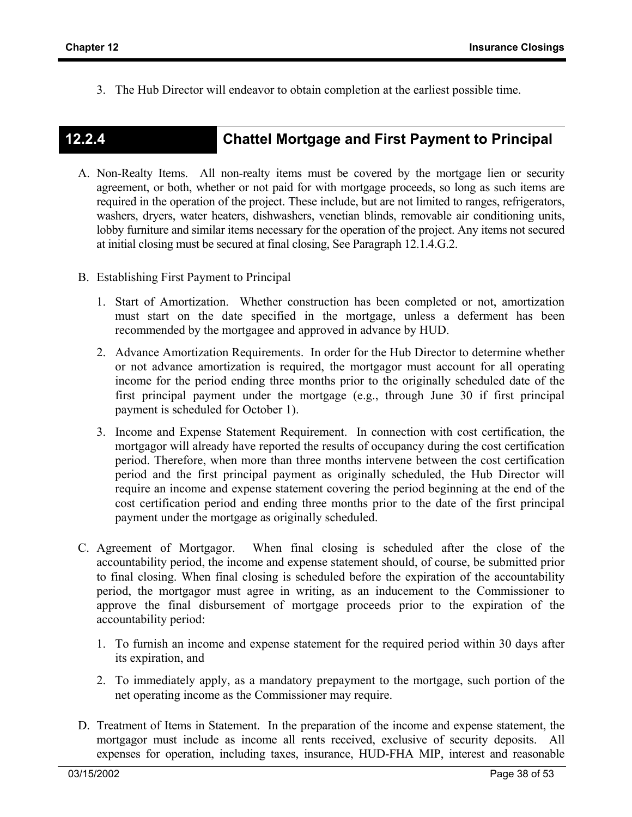3. The Hub Director will endeavor to obtain completion at the earliest possible time.

## **12.2.4 Chattel Mortgage and First Payment to Principal**

- A. Non-Realty Items. All non-realty items must be covered by the mortgage lien or security agreement, or both, whether or not paid for with mortgage proceeds, so long as such items are required in the operation of the project. These include, but are not limited to ranges, refrigerators, washers, dryers, water heaters, dishwashers, venetian blinds, removable air conditioning units, lobby furniture and similar items necessary for the operation of the project. Any items not secured at initial closing must be secured at final closing, See Paragraph 12.1.4.G.2.
- B. Establishing First Payment to Principal
	- 1. Start of Amortization. Whether construction has been completed or not, amortization must start on the date specified in the mortgage, unless a deferment has been recommended by the mortgagee and approved in advance by HUD.
	- 2. Advance Amortization Requirements. In order for the Hub Director to determine whether or not advance amortization is required, the mortgagor must account for all operating income for the period ending three months prior to the originally scheduled date of the first principal payment under the mortgage (e.g., through June 30 if first principal payment is scheduled for October 1).
	- 3. Income and Expense Statement Requirement. In connection with cost certification, the mortgagor will already have reported the results of occupancy during the cost certification period. Therefore, when more than three months intervene between the cost certification period and the first principal payment as originally scheduled, the Hub Director will require an income and expense statement covering the period beginning at the end of the cost certification period and ending three months prior to the date of the first principal payment under the mortgage as originally scheduled.
- C. Agreement of Mortgagor. When final closing is scheduled after the close of the accountability period, the income and expense statement should, of course, be submitted prior to final closing. When final closing is scheduled before the expiration of the accountability period, the mortgagor must agree in writing, as an inducement to the Commissioner to approve the final disbursement of mortgage proceeds prior to the expiration of the accountability period:
	- 1. To furnish an income and expense statement for the required period within 30 days after its expiration, and
	- 2. To immediately apply, as a mandatory prepayment to the mortgage, such portion of the net operating income as the Commissioner may require.
- D. Treatment of Items in Statement. In the preparation of the income and expense statement, the mortgagor must include as income all rents received, exclusive of security deposits. All expenses for operation, including taxes, insurance, HUD-FHA MIP, interest and reasonable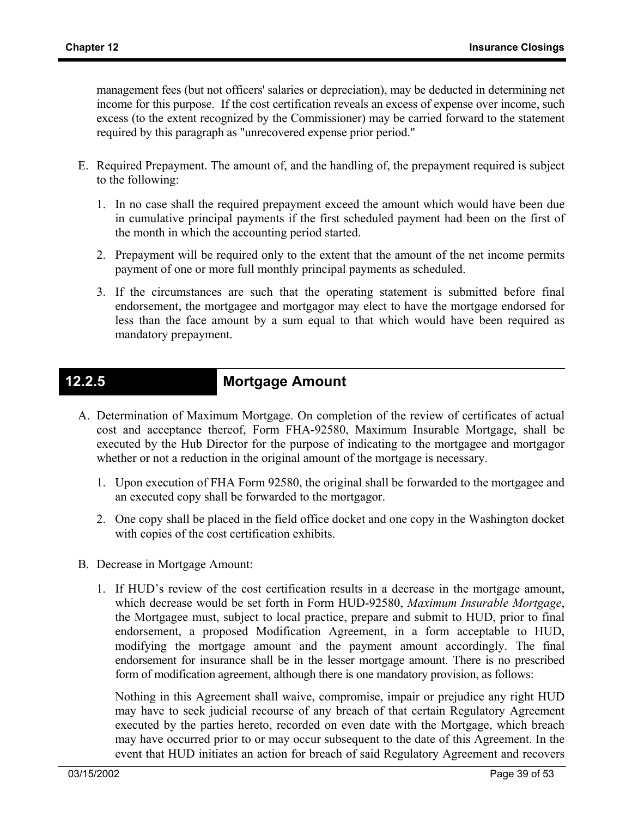management fees (but not officers' salaries or depreciation), may be deducted in determining net income for this purpose. If the cost certification reveals an excess of expense over income, such excess (to the extent recognized by the Commissioner) may be carried forward to the statement required by this paragraph as "unrecovered expense prior period."

- E. Required Prepayment. The amount of, and the handling of, the prepayment required is subject to the following:
	- 1. In no case shall the required prepayment exceed the amount which would have been due in cumulative principal payments if the first scheduled payment had been on the first of the month in which the accounting period started.
	- 2. Prepayment will be required only to the extent that the amount of the net income permits payment of one or more full monthly principal payments as scheduled.
	- 3. If the circumstances are such that the operating statement is submitted before final endorsement, the mortgagee and mortgagor may elect to have the mortgage endorsed for less than the face amount by a sum equal to that which would have been required as mandatory prepayment.

## **12.2.5 Mortgage Amount**

- A. Determination of Maximum Mortgage. On completion of the review of certificates of actual cost and acceptance thereof, Form FHA-92580, Maximum Insurable Mortgage, shall be executed by the Hub Director for the purpose of indicating to the mortgagee and mortgagor whether or not a reduction in the original amount of the mortgage is necessary.
	- 1. Upon execution of FHA Form 92580, the original shall be forwarded to the mortgagee and an executed copy shall be forwarded to the mortgagor.
	- 2. One copy shall be placed in the field office docket and one copy in the Washington docket with copies of the cost certification exhibits.
- B. Decrease in Mortgage Amount:
	- 1. If HUD's review of the cost certification results in a decrease in the mortgage amount, which decrease would be set forth in Form HUD-92580, *Maximum Insurable Mortgage*, the Mortgagee must, subject to local practice, prepare and submit to HUD, prior to final endorsement, a proposed Modification Agreement, in a form acceptable to HUD, modifying the mortgage amount and the payment amount accordingly. The final endorsement for insurance shall be in the lesser mortgage amount. There is no prescribed form of modification agreement, although there is one mandatory provision, as follows:

Nothing in this Agreement shall waive, compromise, impair or prejudice any right HUD may have to seek judicial recourse of any breach of that certain Regulatory Agreement executed by the parties hereto, recorded on even date with the Mortgage, which breach may have occurred prior to or may occur subsequent to the date of this Agreement. In the event that HUD initiates an action for breach of said Regulatory Agreement and recovers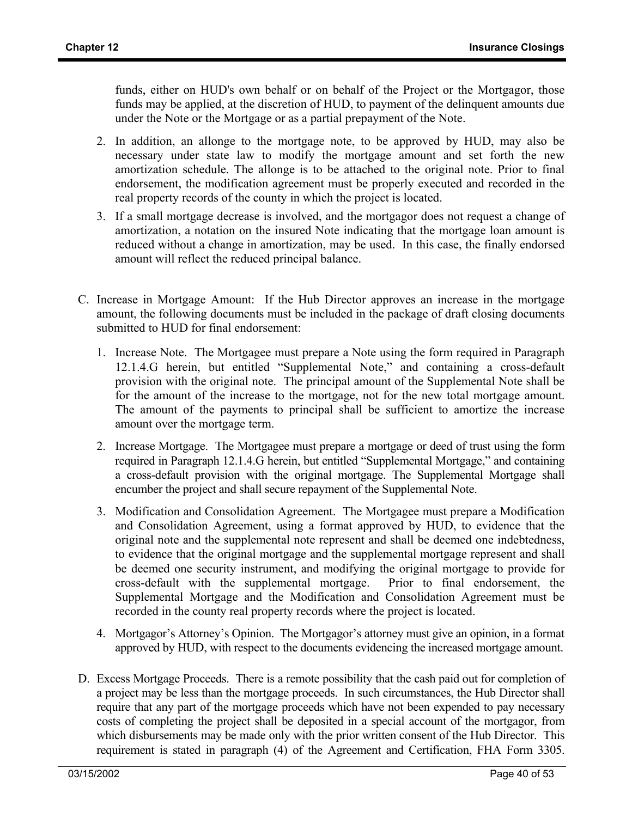funds, either on HUD's own behalf or on behalf of the Project or the Mortgagor, those funds may be applied, at the discretion of HUD, to payment of the delinquent amounts due under the Note or the Mortgage or as a partial prepayment of the Note.

- 2. In addition, an allonge to the mortgage note, to be approved by HUD, may also be necessary under state law to modify the mortgage amount and set forth the new amortization schedule. The allonge is to be attached to the original note. Prior to final endorsement, the modification agreement must be properly executed and recorded in the real property records of the county in which the project is located.
- 3. If a small mortgage decrease is involved, and the mortgagor does not request a change of amortization, a notation on the insured Note indicating that the mortgage loan amount is reduced without a change in amortization, may be used. In this case, the finally endorsed amount will reflect the reduced principal balance.
- C. Increase in Mortgage Amount: If the Hub Director approves an increase in the mortgage amount, the following documents must be included in the package of draft closing documents submitted to HUD for final endorsement:
	- 1. Increase Note. The Mortgagee must prepare a Note using the form required in Paragraph 12.1.4.G herein, but entitled "Supplemental Note," and containing a cross-default provision with the original note. The principal amount of the Supplemental Note shall be for the amount of the increase to the mortgage, not for the new total mortgage amount. The amount of the payments to principal shall be sufficient to amortize the increase amount over the mortgage term.
	- 2. Increase Mortgage. The Mortgagee must prepare a mortgage or deed of trust using the form required in Paragraph 12.1.4.G herein, but entitled "Supplemental Mortgage," and containing a cross-default provision with the original mortgage. The Supplemental Mortgage shall encumber the project and shall secure repayment of the Supplemental Note.
	- 3. Modification and Consolidation Agreement. The Mortgagee must prepare a Modification and Consolidation Agreement, using a format approved by HUD, to evidence that the original note and the supplemental note represent and shall be deemed one indebtedness, to evidence that the original mortgage and the supplemental mortgage represent and shall be deemed one security instrument, and modifying the original mortgage to provide for cross-default with the supplemental mortgage. Prior to final endorsement, the Supplemental Mortgage and the Modification and Consolidation Agreement must be recorded in the county real property records where the project is located.
	- 4. Mortgagor's Attorney's Opinion. The Mortgagor's attorney must give an opinion, in a format approved by HUD, with respect to the documents evidencing the increased mortgage amount.
- D. Excess Mortgage Proceeds. There is a remote possibility that the cash paid out for completion of a project may be less than the mortgage proceeds. In such circumstances, the Hub Director shall require that any part of the mortgage proceeds which have not been expended to pay necessary costs of completing the project shall be deposited in a special account of the mortgagor, from which disbursements may be made only with the prior written consent of the Hub Director. This requirement is stated in paragraph (4) of the Agreement and Certification, FHA Form 3305.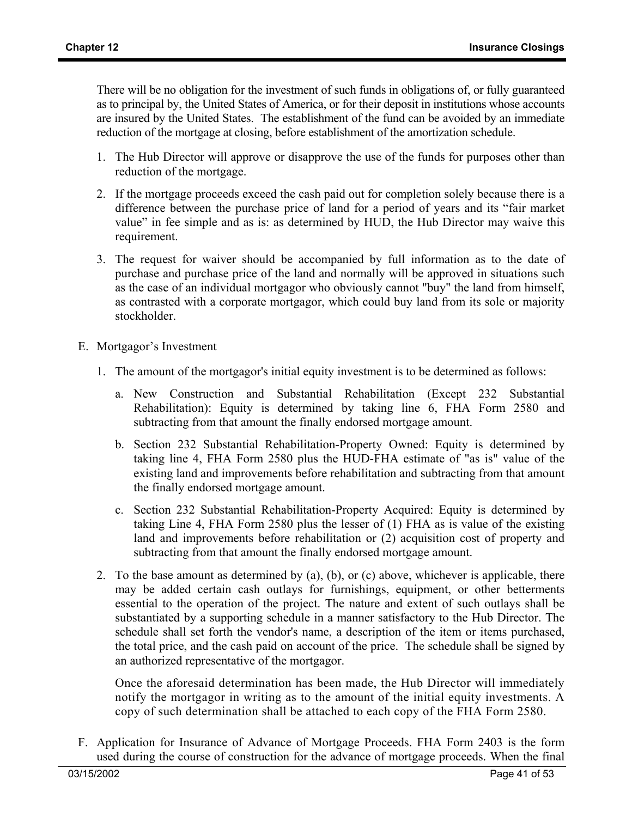There will be no obligation for the investment of such funds in obligations of, or fully guaranteed as to principal by, the United States of America, or for their deposit in institutions whose accounts are insured by the United States. The establishment of the fund can be avoided by an immediate reduction of the mortgage at closing, before establishment of the amortization schedule.

- 1. The Hub Director will approve or disapprove the use of the funds for purposes other than reduction of the mortgage.
- 2. If the mortgage proceeds exceed the cash paid out for completion solely because there is a difference between the purchase price of land for a period of years and its "fair market value" in fee simple and as is: as determined by HUD, the Hub Director may waive this requirement.
- 3. The request for waiver should be accompanied by full information as to the date of purchase and purchase price of the land and normally will be approved in situations such as the case of an individual mortgagor who obviously cannot "buy" the land from himself, as contrasted with a corporate mortgagor, which could buy land from its sole or majority stockholder.
- E. Mortgagor's Investment
	- 1. The amount of the mortgagor's initial equity investment is to be determined as follows:
		- a. New Construction and Substantial Rehabilitation (Except 232 Substantial Rehabilitation): Equity is determined by taking line 6, FHA Form 2580 and subtracting from that amount the finally endorsed mortgage amount.
		- b. Section 232 Substantial Rehabilitation-Property Owned: Equity is determined by taking line 4, FHA Form 2580 plus the HUD-FHA estimate of "as is" value of the existing land and improvements before rehabilitation and subtracting from that amount the finally endorsed mortgage amount.
		- c. Section 232 Substantial Rehabilitation-Property Acquired: Equity is determined by taking Line 4, FHA Form 2580 plus the lesser of (1) FHA as is value of the existing land and improvements before rehabilitation or (2) acquisition cost of property and subtracting from that amount the finally endorsed mortgage amount.
	- 2. To the base amount as determined by (a), (b), or (c) above, whichever is applicable, there may be added certain cash outlays for furnishings, equipment, or other betterments essential to the operation of the project. The nature and extent of such outlays shall be substantiated by a supporting schedule in a manner satisfactory to the Hub Director. The schedule shall set forth the vendor's name, a description of the item or items purchased, the total price, and the cash paid on account of the price. The schedule shall be signed by an authorized representative of the mortgagor.

Once the aforesaid determination has been made, the Hub Director will immediately notify the mortgagor in writing as to the amount of the initial equity investments. A copy of such determination shall be attached to each copy of the FHA Form 2580.

F. Application for Insurance of Advance of Mortgage Proceeds. FHA Form 2403 is the form used during the course of construction for the advance of mortgage proceeds. When the final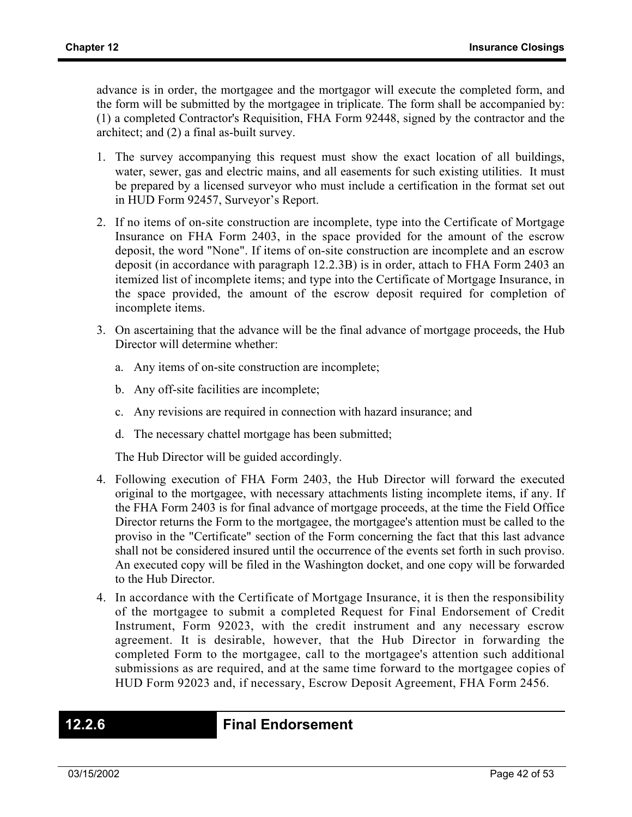advance is in order, the mortgagee and the mortgagor will execute the completed form, and the form will be submitted by the mortgagee in triplicate. The form shall be accompanied by: (1) a completed Contractor's Requisition, FHA Form 92448, signed by the contractor and the architect; and (2) a final as-built survey.

- 1. The survey accompanying this request must show the exact location of all buildings, water, sewer, gas and electric mains, and all easements for such existing utilities. It must be prepared by a licensed surveyor who must include a certification in the format set out in HUD Form 92457, Surveyor's Report.
- 2. If no items of on-site construction are incomplete, type into the Certificate of Mortgage Insurance on FHA Form 2403, in the space provided for the amount of the escrow deposit, the word "None". If items of on-site construction are incomplete and an escrow deposit (in accordance with paragraph 12.2.3B) is in order, attach to FHA Form 2403 an itemized list of incomplete items; and type into the Certificate of Mortgage Insurance, in the space provided, the amount of the escrow deposit required for completion of incomplete items.
- 3. On ascertaining that the advance will be the final advance of mortgage proceeds, the Hub Director will determine whether:
	- a. Any items of on-site construction are incomplete;
	- b. Any off-site facilities are incomplete;
	- c. Any revisions are required in connection with hazard insurance; and
	- d. The necessary chattel mortgage has been submitted;

The Hub Director will be guided accordingly.

- 4. Following execution of FHA Form 2403, the Hub Director will forward the executed original to the mortgagee, with necessary attachments listing incomplete items, if any. If the FHA Form 2403 is for final advance of mortgage proceeds, at the time the Field Office Director returns the Form to the mortgagee, the mortgagee's attention must be called to the proviso in the "Certificate" section of the Form concerning the fact that this last advance shall not be considered insured until the occurrence of the events set forth in such proviso. An executed copy will be filed in the Washington docket, and one copy will be forwarded to the Hub Director.
- 4. In accordance with the Certificate of Mortgage Insurance, it is then the responsibility of the mortgagee to submit a completed Request for Final Endorsement of Credit Instrument, Form 92023, with the credit instrument and any necessary escrow agreement. It is desirable, however, that the Hub Director in forwarding the completed Form to the mortgagee, call to the mortgagee's attention such additional submissions as are required, and at the same time forward to the mortgagee copies of HUD Form 92023 and, if necessary, Escrow Deposit Agreement, FHA Form 2456.

### **12.2.6 Final Endorsement**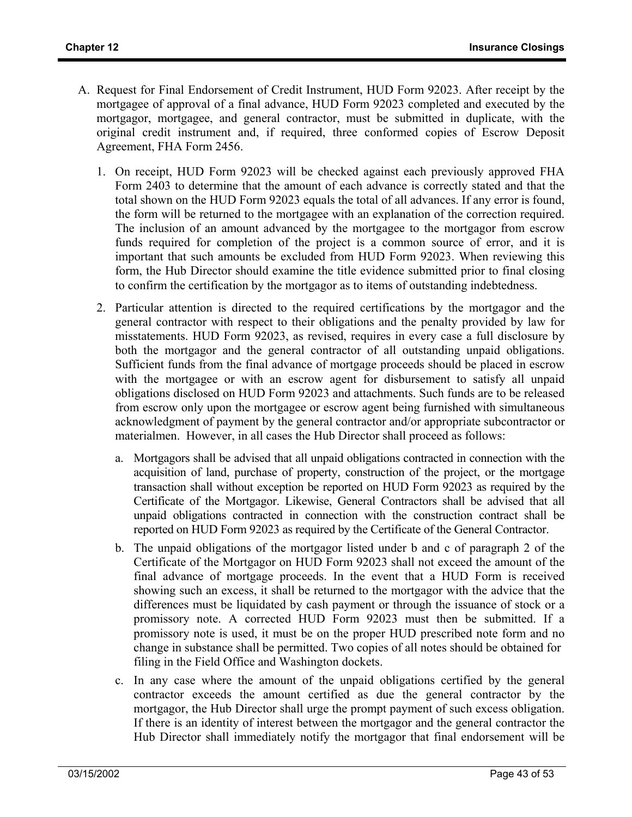- A. Request for Final Endorsement of Credit Instrument, HUD Form 92023. After receipt by the mortgagee of approval of a final advance, HUD Form 92023 completed and executed by the mortgagor, mortgagee, and general contractor, must be submitted in duplicate, with the original credit instrument and, if required, three conformed copies of Escrow Deposit Agreement, FHA Form 2456.
	- 1. On receipt, HUD Form 92023 will be checked against each previously approved FHA Form 2403 to determine that the amount of each advance is correctly stated and that the total shown on the HUD Form 92023 equals the total of all advances. If any error is found, the form will be returned to the mortgagee with an explanation of the correction required. The inclusion of an amount advanced by the mortgagee to the mortgagor from escrow funds required for completion of the project is a common source of error, and it is important that such amounts be excluded from HUD Form 92023. When reviewing this form, the Hub Director should examine the title evidence submitted prior to final closing to confirm the certification by the mortgagor as to items of outstanding indebtedness.
	- 2. Particular attention is directed to the required certifications by the mortgagor and the general contractor with respect to their obligations and the penalty provided by law for misstatements. HUD Form 92023, as revised, requires in every case a full disclosure by both the mortgagor and the general contractor of all outstanding unpaid obligations. Sufficient funds from the final advance of mortgage proceeds should be placed in escrow with the mortgagee or with an escrow agent for disbursement to satisfy all unpaid obligations disclosed on HUD Form 92023 and attachments. Such funds are to be released from escrow only upon the mortgagee or escrow agent being furnished with simultaneous acknowledgment of payment by the general contractor and/or appropriate subcontractor or materialmen. However, in all cases the Hub Director shall proceed as follows:
		- a. Mortgagors shall be advised that all unpaid obligations contracted in connection with the acquisition of land, purchase of property, construction of the project, or the mortgage transaction shall without exception be reported on HUD Form 92023 as required by the Certificate of the Mortgagor. Likewise, General Contractors shall be advised that all unpaid obligations contracted in connection with the construction contract shall be reported on HUD Form 92023 as required by the Certificate of the General Contractor.
		- b. The unpaid obligations of the mortgagor listed under b and c of paragraph 2 of the Certificate of the Mortgagor on HUD Form 92023 shall not exceed the amount of the final advance of mortgage proceeds. In the event that a HUD Form is received showing such an excess, it shall be returned to the mortgagor with the advice that the differences must be liquidated by cash payment or through the issuance of stock or a promissory note. A corrected HUD Form 92023 must then be submitted. If a promissory note is used, it must be on the proper HUD prescribed note form and no change in substance shall be permitted. Two copies of all notes should be obtained for filing in the Field Office and Washington dockets.
		- c. In any case where the amount of the unpaid obligations certified by the general contractor exceeds the amount certified as due the general contractor by the mortgagor, the Hub Director shall urge the prompt payment of such excess obligation. If there is an identity of interest between the mortgagor and the general contractor the Hub Director shall immediately notify the mortgagor that final endorsement will be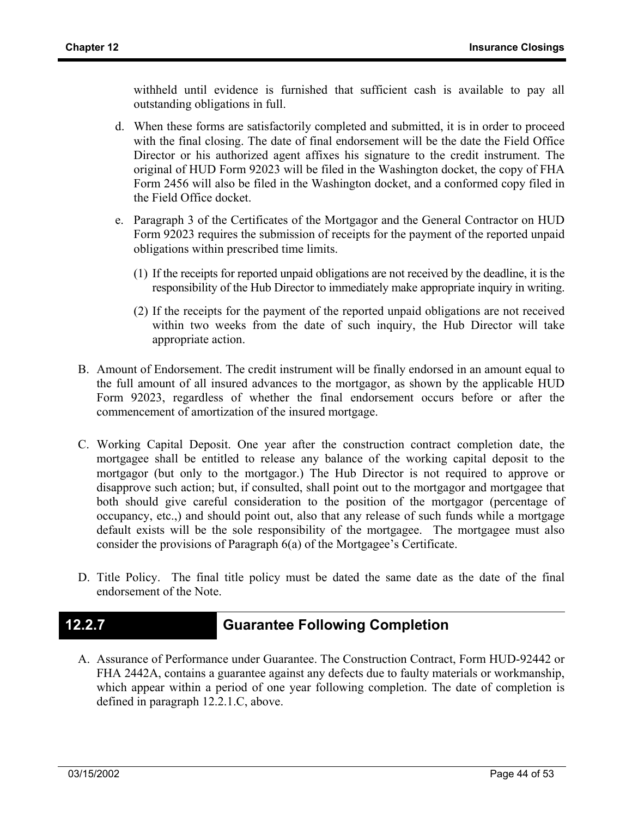withheld until evidence is furnished that sufficient cash is available to pay all outstanding obligations in full.

- d. When these forms are satisfactorily completed and submitted, it is in order to proceed with the final closing. The date of final endorsement will be the date the Field Office Director or his authorized agent affixes his signature to the credit instrument. The original of HUD Form 92023 will be filed in the Washington docket, the copy of FHA Form 2456 will also be filed in the Washington docket, and a conformed copy filed in the Field Office docket.
- e. Paragraph 3 of the Certificates of the Mortgagor and the General Contractor on HUD Form 92023 requires the submission of receipts for the payment of the reported unpaid obligations within prescribed time limits.
	- (1) If the receipts for reported unpaid obligations are not received by the deadline, it is the responsibility of the Hub Director to immediately make appropriate inquiry in writing.
	- (2) If the receipts for the payment of the reported unpaid obligations are not received within two weeks from the date of such inquiry, the Hub Director will take appropriate action.
- B. Amount of Endorsement. The credit instrument will be finally endorsed in an amount equal to the full amount of all insured advances to the mortgagor, as shown by the applicable HUD Form 92023, regardless of whether the final endorsement occurs before or after the commencement of amortization of the insured mortgage.
- C. Working Capital Deposit. One year after the construction contract completion date, the mortgagee shall be entitled to release any balance of the working capital deposit to the mortgagor (but only to the mortgagor.) The Hub Director is not required to approve or disapprove such action; but, if consulted, shall point out to the mortgagor and mortgagee that both should give careful consideration to the position of the mortgagor (percentage of occupancy, etc.,) and should point out, also that any release of such funds while a mortgage default exists will be the sole responsibility of the mortgagee. The mortgagee must also consider the provisions of Paragraph 6(a) of the Mortgagee's Certificate.
- D. Title Policy. The final title policy must be dated the same date as the date of the final endorsement of the Note.

## **12.2.7 Guarantee Following Completion**

A. Assurance of Performance under Guarantee. The Construction Contract, Form HUD-92442 or FHA 2442A, contains a guarantee against any defects due to faulty materials or workmanship, which appear within a period of one year following completion. The date of completion is defined in paragraph 12.2.1.C, above.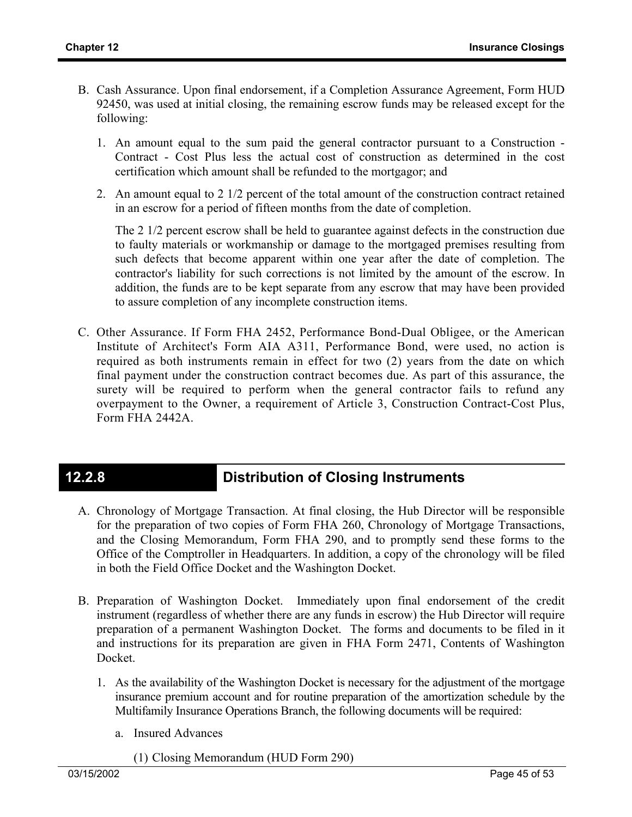- B. Cash Assurance. Upon final endorsement, if a Completion Assurance Agreement, Form HUD 92450, was used at initial closing, the remaining escrow funds may be released except for the following:
	- 1. An amount equal to the sum paid the general contractor pursuant to a Construction Contract - Cost Plus less the actual cost of construction as determined in the cost certification which amount shall be refunded to the mortgagor; and
	- 2. An amount equal to 2 1/2 percent of the total amount of the construction contract retained in an escrow for a period of fifteen months from the date of completion.

The 2 1/2 percent escrow shall be held to guarantee against defects in the construction due to faulty materials or workmanship or damage to the mortgaged premises resulting from such defects that become apparent within one year after the date of completion. The contractor's liability for such corrections is not limited by the amount of the escrow. In addition, the funds are to be kept separate from any escrow that may have been provided to assure completion of any incomplete construction items.

C. Other Assurance. If Form FHA 2452, Performance Bond-Dual Obligee, or the American Institute of Architect's Form AIA A311, Performance Bond, were used, no action is required as both instruments remain in effect for two (2) years from the date on which final payment under the construction contract becomes due. As part of this assurance, the surety will be required to perform when the general contractor fails to refund any overpayment to the Owner, a requirement of Article 3, Construction Contract-Cost Plus, Form FHA 2442A.

## **12.2.8 Distribution of Closing Instruments**

- A. Chronology of Mortgage Transaction. At final closing, the Hub Director will be responsible for the preparation of two copies of Form FHA 260, Chronology of Mortgage Transactions, and the Closing Memorandum, Form FHA 290, and to promptly send these forms to the Office of the Comptroller in Headquarters. In addition, a copy of the chronology will be filed in both the Field Office Docket and the Washington Docket.
- B. Preparation of Washington Docket. Immediately upon final endorsement of the credit instrument (regardless of whether there are any funds in escrow) the Hub Director will require preparation of a permanent Washington Docket. The forms and documents to be filed in it and instructions for its preparation are given in FHA Form 2471, Contents of Washington Docket.
	- 1. As the availability of the Washington Docket is necessary for the adjustment of the mortgage insurance premium account and for routine preparation of the amortization schedule by the Multifamily Insurance Operations Branch, the following documents will be required:
		- a. Insured Advances
			- (1) Closing Memorandum (HUD Form 290)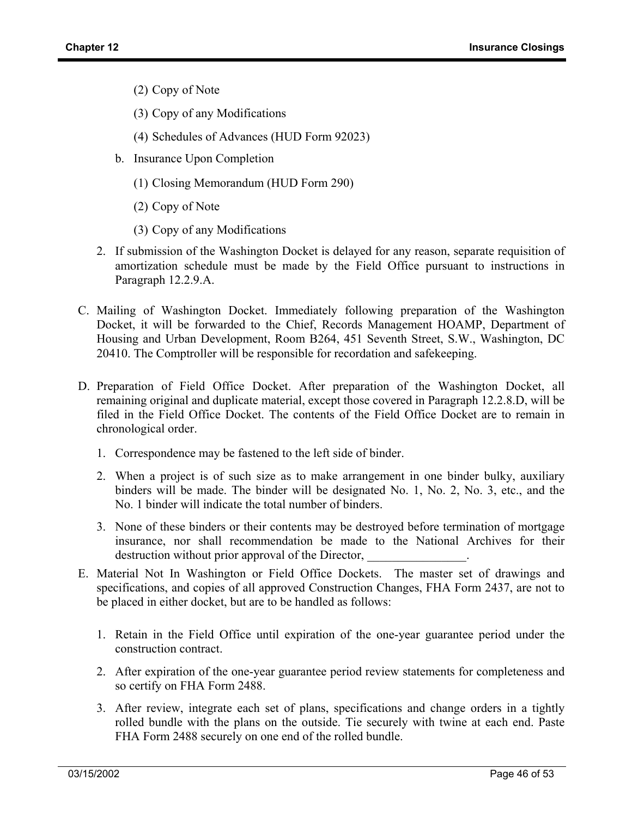- (2) Copy of Note
- (3) Copy of any Modifications
- (4) Schedules of Advances (HUD Form 92023)
- b. Insurance Upon Completion
	- (1) Closing Memorandum (HUD Form 290)
	- (2) Copy of Note
	- (3) Copy of any Modifications
- 2. If submission of the Washington Docket is delayed for any reason, separate requisition of amortization schedule must be made by the Field Office pursuant to instructions in Paragraph 12.2.9.A.
- C. Mailing of Washington Docket. Immediately following preparation of the Washington Docket, it will be forwarded to the Chief, Records Management HOAMP, Department of Housing and Urban Development, Room B264, 451 Seventh Street, S.W., Washington, DC 20410. The Comptroller will be responsible for recordation and safekeeping.
- D. Preparation of Field Office Docket. After preparation of the Washington Docket, all remaining original and duplicate material, except those covered in Paragraph 12.2.8.D, will be filed in the Field Office Docket. The contents of the Field Office Docket are to remain in chronological order.
	- 1. Correspondence may be fastened to the left side of binder.
	- 2. When a project is of such size as to make arrangement in one binder bulky, auxiliary binders will be made. The binder will be designated No. 1, No. 2, No. 3, etc., and the No. 1 binder will indicate the total number of binders.
	- 3. None of these binders or their contents may be destroyed before termination of mortgage insurance, nor shall recommendation be made to the National Archives for their destruction without prior approval of the Director,
- E. Material Not In Washington or Field Office Dockets. The master set of drawings and specifications, and copies of all approved Construction Changes, FHA Form 2437, are not to be placed in either docket, but are to be handled as follows:
	- 1. Retain in the Field Office until expiration of the one-year guarantee period under the construction contract.
	- 2. After expiration of the one-year guarantee period review statements for completeness and so certify on FHA Form 2488.
	- 3. After review, integrate each set of plans, specifications and change orders in a tightly rolled bundle with the plans on the outside. Tie securely with twine at each end. Paste FHA Form 2488 securely on one end of the rolled bundle.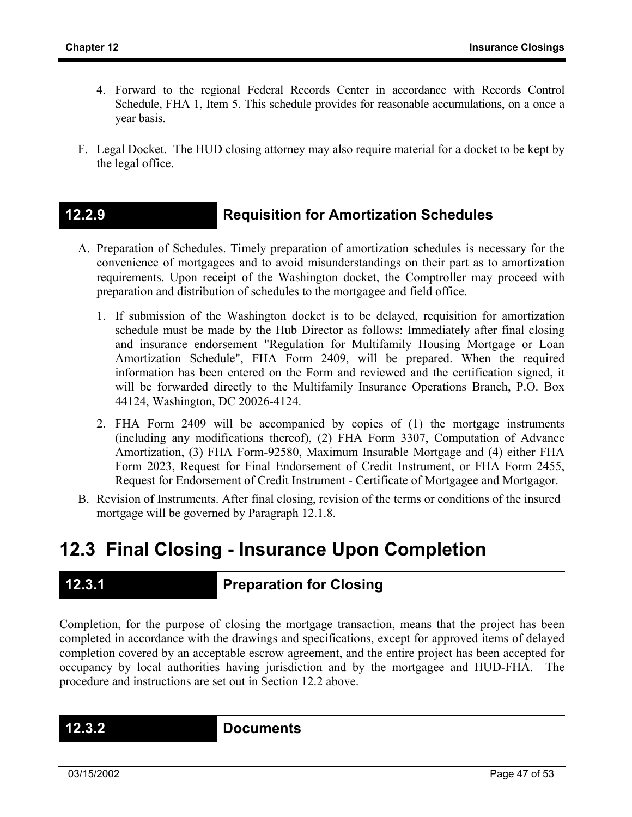- 4. Forward to the regional Federal Records Center in accordance with Records Control Schedule, FHA 1, Item 5. This schedule provides for reasonable accumulations, on a once a year basis.
- F. Legal Docket. The HUD closing attorney may also require material for a docket to be kept by the legal office.

### **12.2.9 Requisition for Amortization Schedules**

- A. Preparation of Schedules. Timely preparation of amortization schedules is necessary for the convenience of mortgagees and to avoid misunderstandings on their part as to amortization requirements. Upon receipt of the Washington docket, the Comptroller may proceed with preparation and distribution of schedules to the mortgagee and field office.
	- 1. If submission of the Washington docket is to be delayed, requisition for amortization schedule must be made by the Hub Director as follows: Immediately after final closing and insurance endorsement "Regulation for Multifamily Housing Mortgage or Loan Amortization Schedule", FHA Form 2409, will be prepared. When the required information has been entered on the Form and reviewed and the certification signed, it will be forwarded directly to the Multifamily Insurance Operations Branch, P.O. Box 44124, Washington, DC 20026-4124.
	- 2. FHA Form 2409 will be accompanied by copies of (1) the mortgage instruments (including any modifications thereof), (2) FHA Form 3307, Computation of Advance Amortization, (3) FHA Form-92580, Maximum Insurable Mortgage and (4) either FHA Form 2023, Request for Final Endorsement of Credit Instrument, or FHA Form 2455, Request for Endorsement of Credit Instrument - Certificate of Mortgagee and Mortgagor.
- B. Revision of Instruments. After final closing, revision of the terms or conditions of the insured mortgage will be governed by Paragraph 12.1.8.

# **12.3 Final Closing - Insurance Upon Completion**

## **12.3.1 Preparation for Closing**

Completion, for the purpose of closing the mortgage transaction, means that the project has been completed in accordance with the drawings and specifications, except for approved items of delayed completion covered by an acceptable escrow agreement, and the entire project has been accepted for occupancy by local authorities having jurisdiction and by the mortgagee and HUD-FHA. The procedure and instructions are set out in Section 12.2 above.

**12.3.2 Documents**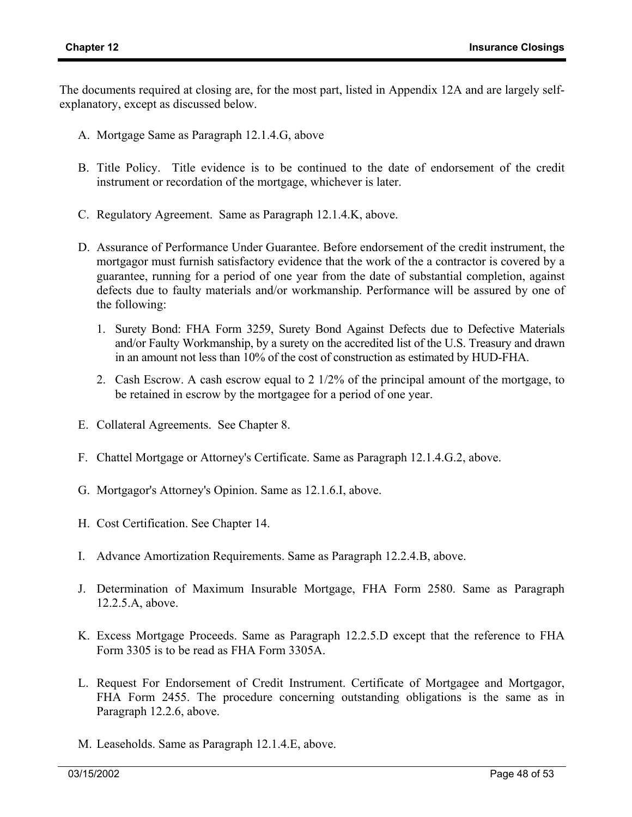The documents required at closing are, for the most part, listed in Appendix 12A and are largely selfexplanatory, except as discussed below.

- A. Mortgage Same as Paragraph 12.1.4.G, above
- B. Title Policy. Title evidence is to be continued to the date of endorsement of the credit instrument or recordation of the mortgage, whichever is later.
- C. Regulatory Agreement. Same as Paragraph 12.1.4.K, above.
- D. Assurance of Performance Under Guarantee. Before endorsement of the credit instrument, the mortgagor must furnish satisfactory evidence that the work of the a contractor is covered by a guarantee, running for a period of one year from the date of substantial completion, against defects due to faulty materials and/or workmanship. Performance will be assured by one of the following:
	- 1. Surety Bond: FHA Form 3259, Surety Bond Against Defects due to Defective Materials and/or Faulty Workmanship, by a surety on the accredited list of the U.S. Treasury and drawn in an amount not less than 10% of the cost of construction as estimated by HUD-FHA.
	- 2. Cash Escrow. A cash escrow equal to 2 1/2% of the principal amount of the mortgage, to be retained in escrow by the mortgagee for a period of one year.
- E. Collateral Agreements. See Chapter 8.
- F. Chattel Mortgage or Attorney's Certificate. Same as Paragraph 12.1.4.G.2, above.
- G. Mortgagor's Attorney's Opinion. Same as 12.1.6.I, above.
- H. Cost Certification. See Chapter 14.
- I. Advance Amortization Requirements. Same as Paragraph 12.2.4.B, above.
- J. Determination of Maximum Insurable Mortgage, FHA Form 2580. Same as Paragraph 12.2.5.A, above.
- K. Excess Mortgage Proceeds. Same as Paragraph 12.2.5.D except that the reference to FHA Form 3305 is to be read as FHA Form 3305A.
- L. Request For Endorsement of Credit Instrument. Certificate of Mortgagee and Mortgagor, FHA Form 2455. The procedure concerning outstanding obligations is the same as in Paragraph 12.2.6, above.
- M. Leaseholds. Same as Paragraph 12.1.4.E, above.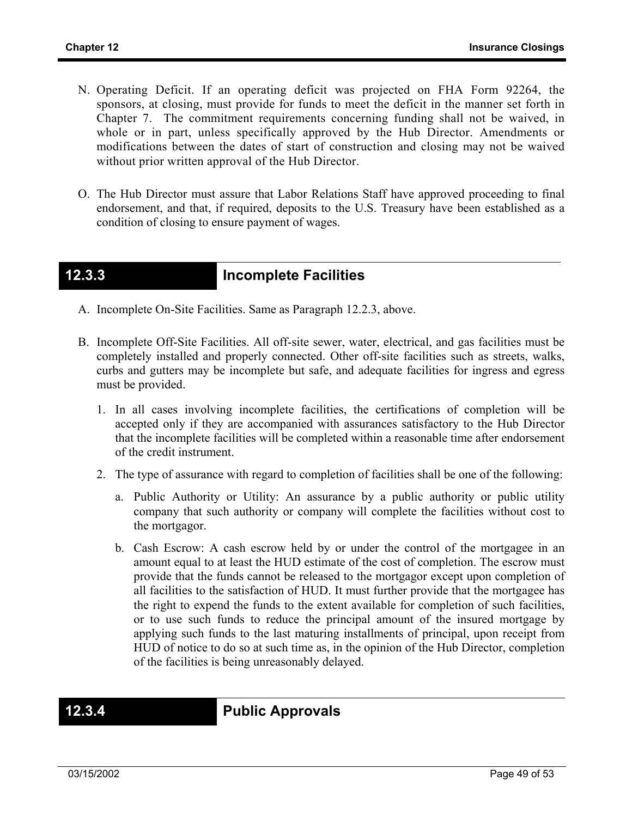- N. Operating Deficit. If an operating deficit was projected on FHA Form 92264, the sponsors, at closing, must provide for funds to meet the deficit in the manner set forth in Chapter 7. The commitment requirements concerning funding shall not be waived, in whole or in part, unless specifically approved by the Hub Director. Amendments or modifications between the dates of start of construction and closing may not be waived without prior written approval of the Hub Director.
- O. The Hub Director must assure that Labor Relations Staff have approved proceeding to final endorsement, and that, if required, deposits to the U.S. Treasury have been established as a condition of closing to ensure payment of wages.

## **12.3.3 Incomplete Facilities**

- A. Incomplete On-Site Facilities. Same as Paragraph 12.2.3, above.
- B. Incomplete Off-Site Facilities. All off-site sewer, water, electrical, and gas facilities must be completely installed and properly connected. Other off-site facilities such as streets, walks, curbs and gutters may be incomplete but safe, and adequate facilities for ingress and egress must be provided.
	- 1. In all cases involving incomplete facilities, the certifications of completion will be accepted only if they are accompanied with assurances satisfactory to the Hub Director that the incomplete facilities will be completed within a reasonable time after endorsement of the credit instrument.
	- 2. The type of assurance with regard to completion of facilities shall be one of the following:
		- a. Public Authority or Utility: An assurance by a public authority or public utility company that such authority or company will complete the facilities without cost to the mortgagor.
		- b. Cash Escrow: A cash escrow held by or under the control of the mortgagee in an amount equal to at least the HUD estimate of the cost of completion. The escrow must provide that the funds cannot be released to the mortgagor except upon completion of all facilities to the satisfaction of HUD. It must further provide that the mortgagee has the right to expend the funds to the extent available for completion of such facilities, or to use such funds to reduce the principal amount of the insured mortgage by applying such funds to the last maturing installments of principal, upon receipt from HUD of notice to do so at such time as, in the opinion of the Hub Director, completion of the facilities is being unreasonably delayed.

**12.3.4 Public Approvals**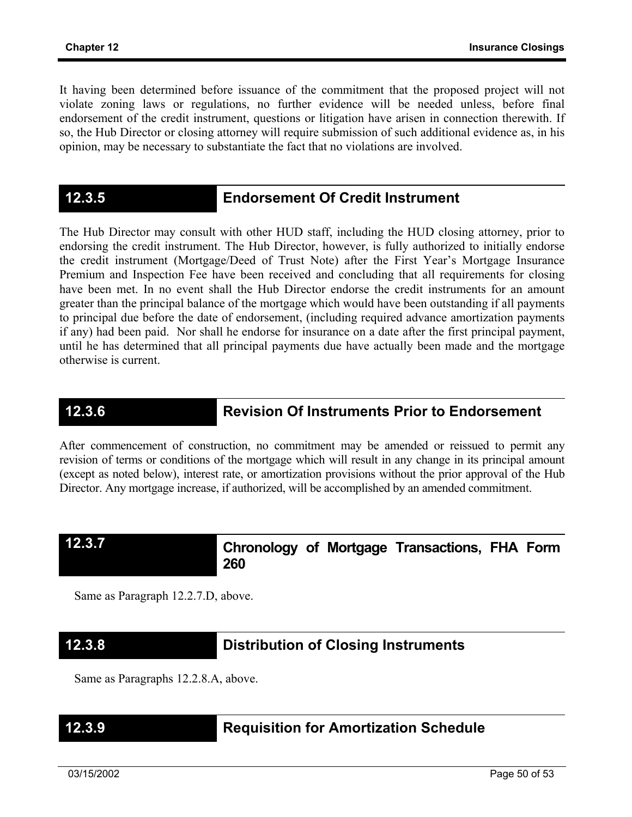It having been determined before issuance of the commitment that the proposed project will not violate zoning laws or regulations, no further evidence will be needed unless, before final endorsement of the credit instrument, questions or litigation have arisen in connection therewith. If so, the Hub Director or closing attorney will require submission of such additional evidence as, in his opinion, may be necessary to substantiate the fact that no violations are involved.

### **12.3.5 Endorsement Of Credit Instrument**

The Hub Director may consult with other HUD staff, including the HUD closing attorney, prior to endorsing the credit instrument. The Hub Director, however, is fully authorized to initially endorse the credit instrument (Mortgage/Deed of Trust Note) after the First Year's Mortgage Insurance Premium and Inspection Fee have been received and concluding that all requirements for closing have been met. In no event shall the Hub Director endorse the credit instruments for an amount greater than the principal balance of the mortgage which would have been outstanding if all payments to principal due before the date of endorsement, (including required advance amortization payments if any) had been paid. Nor shall he endorse for insurance on a date after the first principal payment, until he has determined that all principal payments due have actually been made and the mortgage otherwise is current.

## **12.3.6 Revision Of Instruments Prior to Endorsement**

After commencement of construction, no commitment may be amended or reissued to permit any revision of terms or conditions of the mortgage which will result in any change in its principal amount (except as noted below), interest rate, or amortization provisions without the prior approval of the Hub Director. Any mortgage increase, if authorized, will be accomplished by an amended commitment.

### **12.3.7**

### **Chronology of Mortgage Transactions, FHA Form 260**

Same as Paragraph 12.2.7.D, above.

## **12.3.8 Distribution of Closing Instruments**

Same as Paragraphs 12.2.8.A, above.

## **12.3.9 Requisition for Amortization Schedule**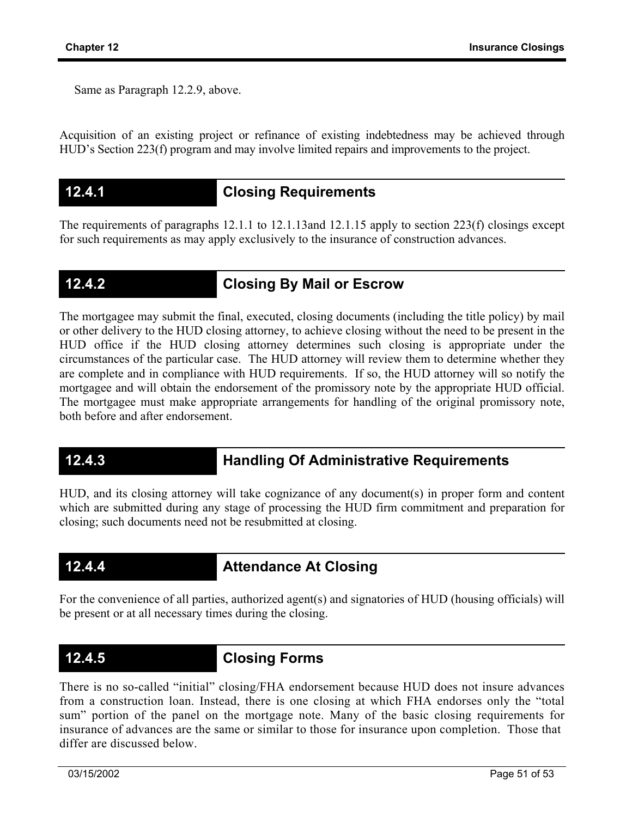Same as Paragraph 12.2.9, above.

Acquisition of an existing project or refinance of existing indebtedness may be achieved through HUD's Section 223(f) program and may involve limited repairs and improvements to the project.

### **12.4.1 Closing Requirements**

The requirements of paragraphs 12.1.1 to 12.1.13and 12.1.15 apply to section 223(f) closings except for such requirements as may apply exclusively to the insurance of construction advances.

## **12.4.2 Closing By Mail or Escrow**

The mortgagee may submit the final, executed, closing documents (including the title policy) by mail or other delivery to the HUD closing attorney, to achieve closing without the need to be present in the HUD office if the HUD closing attorney determines such closing is appropriate under the circumstances of the particular case. The HUD attorney will review them to determine whether they are complete and in compliance with HUD requirements. If so, the HUD attorney will so notify the mortgagee and will obtain the endorsement of the promissory note by the appropriate HUD official. The mortgagee must make appropriate arrangements for handling of the original promissory note, both before and after endorsement.

## **12.4.3 Handling Of Administrative Requirements**

HUD, and its closing attorney will take cognizance of any document(s) in proper form and content which are submitted during any stage of processing the HUD firm commitment and preparation for closing; such documents need not be resubmitted at closing.

## **12.4.4 Attendance At Closing**

For the convenience of all parties, authorized agent(s) and signatories of HUD (housing officials) will be present or at all necessary times during the closing.

## **12.4.5 Closing Forms**

There is no so-called "initial" closing/FHA endorsement because HUD does not insure advances from a construction loan. Instead, there is one closing at which FHA endorses only the "total sum" portion of the panel on the mortgage note. Many of the basic closing requirements for insurance of advances are the same or similar to those for insurance upon completion. Those that differ are discussed below.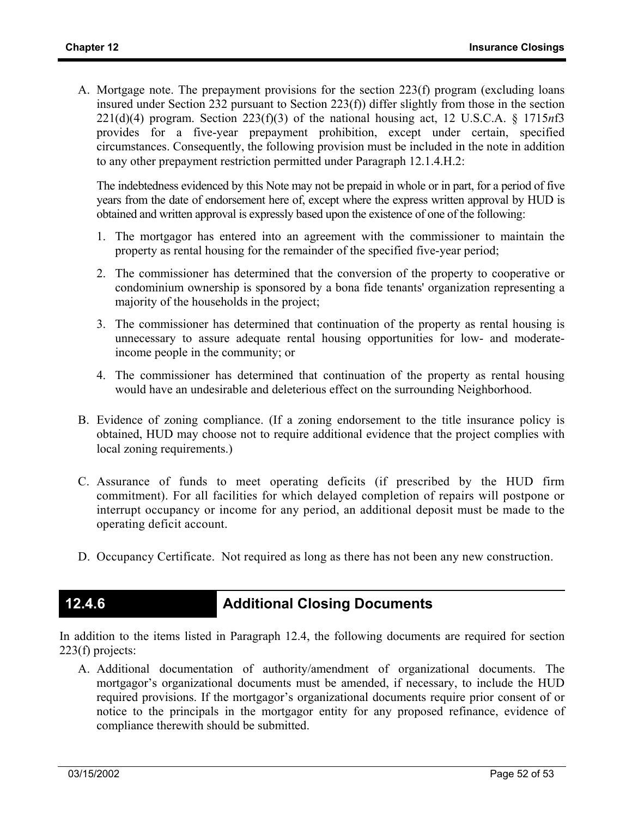A. Mortgage note. The prepayment provisions for the section 223(f) program (excluding loans insured under Section 232 pursuant to Section 223(f)) differ slightly from those in the section 221(d)(4) program. Section 223(f)(3) of the national housing act, 12 U.S.C.A. § 1715*n*f3 provides for a five-year prepayment prohibition, except under certain, specified circumstances. Consequently, the following provision must be included in the note in addition to any other prepayment restriction permitted under Paragraph 12.1.4.H.2:

The indebtedness evidenced by this Note may not be prepaid in whole or in part, for a period of five years from the date of endorsement here of, except where the express written approval by HUD is obtained and written approval is expressly based upon the existence of one of the following:

- 1. The mortgagor has entered into an agreement with the commissioner to maintain the property as rental housing for the remainder of the specified five-year period;
- 2. The commissioner has determined that the conversion of the property to cooperative or condominium ownership is sponsored by a bona fide tenants' organization representing a majority of the households in the project;
- 3. The commissioner has determined that continuation of the property as rental housing is unnecessary to assure adequate rental housing opportunities for low- and moderateincome people in the community; or
- 4. The commissioner has determined that continuation of the property as rental housing would have an undesirable and deleterious effect on the surrounding Neighborhood.
- B. Evidence of zoning compliance. (If a zoning endorsement to the title insurance policy is obtained, HUD may choose not to require additional evidence that the project complies with local zoning requirements.)
- C. Assurance of funds to meet operating deficits (if prescribed by the HUD firm commitment). For all facilities for which delayed completion of repairs will postpone or interrupt occupancy or income for any period, an additional deposit must be made to the operating deficit account.
- D. Occupancy Certificate. Not required as long as there has not been any new construction.

## **12.4.6 Additional Closing Documents**

In addition to the items listed in Paragraph 12.4, the following documents are required for section 223(f) projects:

A. Additional documentation of authority/amendment of organizational documents. The mortgagor's organizational documents must be amended, if necessary, to include the HUD required provisions. If the mortgagor's organizational documents require prior consent of or notice to the principals in the mortgagor entity for any proposed refinance, evidence of compliance therewith should be submitted.